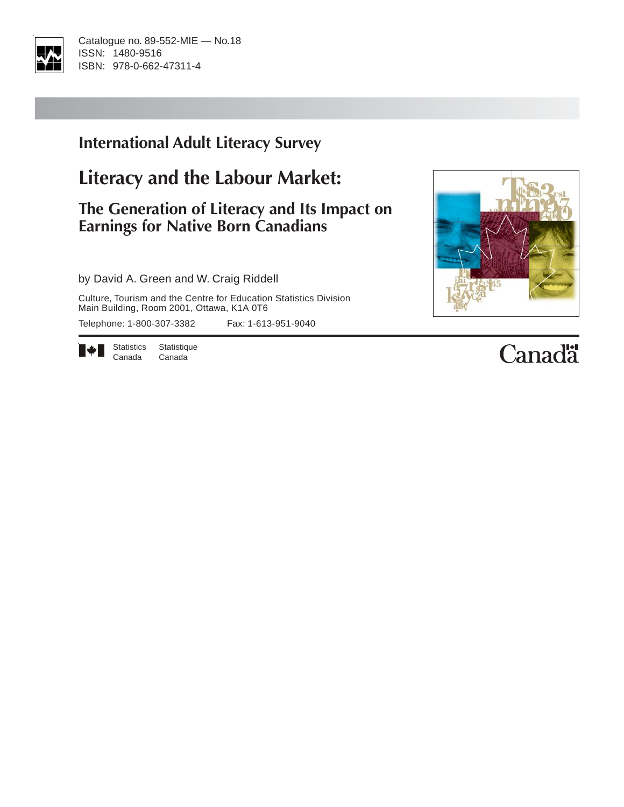

### **International Adult Literacy Survey**

## **Literacy and the Labour Market:**

### **The Generation of Literacy and Its Impact on Earnings for Native Born Canadians**

by David A. Green and W. Craig Riddell

Culture, Tourism and the Centre for Education Statistics Division Main Building, Room 2001, Ottawa, K1A 0T6

Telephone: 1-800-307-3382 Fax: 1-613-951-9040

 $\blacktriangleright$ 

Statistics Statistique Canada Canada



# **Canadä**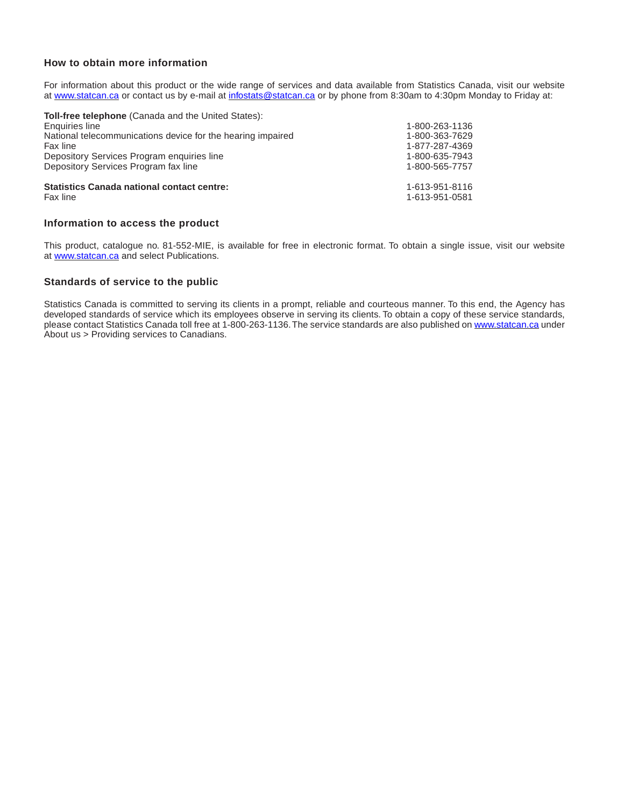#### **How to obtain more information**

For information about this product or the wide range of services and data available from Statistics Canada, visit our website at www.statcan.ca or contact us by e-mail at infostats@statcan.ca or by phone from 8:30am to 4:30pm Monday to Friday at:

| <b>Toll-free telephone</b> (Canada and the United States):  |                |
|-------------------------------------------------------------|----------------|
| Enquiries line                                              | 1-800-263-1136 |
| National telecommunications device for the hearing impaired | 1-800-363-7629 |
| Fax line                                                    | 1-877-287-4369 |
| Depository Services Program enquiries line                  | 1-800-635-7943 |
| Depository Services Program fax line                        | 1-800-565-7757 |
| <b>Statistics Canada national contact centre:</b>           | 1-613-951-8116 |
| Fax line                                                    | 1-613-951-0581 |

#### **Information to access the product**

This product, catalogue no. 81-552-MIE, is available for free in electronic format. To obtain a single issue, visit our website at www.statcan.ca and select Publications.

#### **Standards of service to the public**

Statistics Canada is committed to serving its clients in a prompt, reliable and courteous manner. To this end, the Agency has developed standards of service which its employees observe in serving its clients. To obtain a copy of these service standards, please contact Statistics Canada toll free at 1-800-263-1136. The service standards are also published on www.statcan.ca under About us > Providing services to Canadians.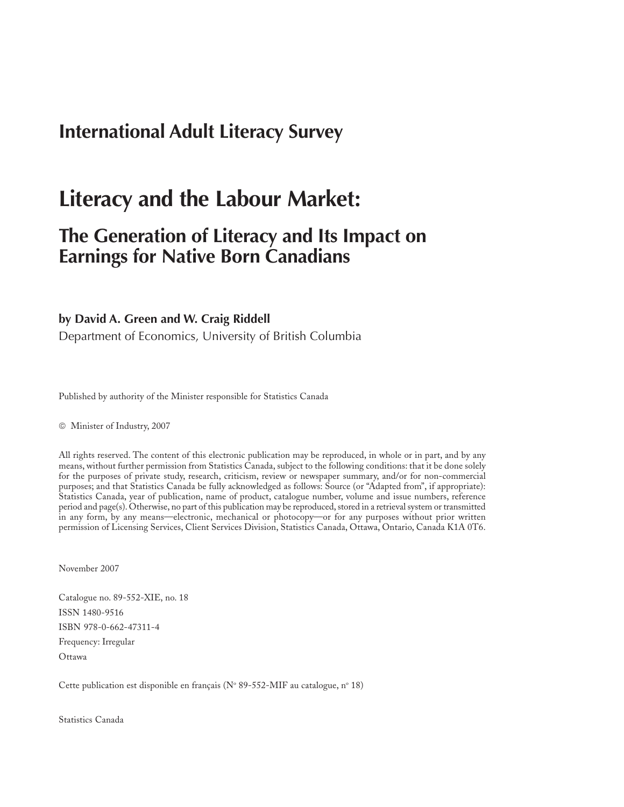### **International Adult Literacy Survey**

## **Literacy and the Labour Market:**

## **The Generation of Literacy and Its Impact on Earnings for Native Born Canadians**

**by David A. Green and W. Craig Riddell**

Department of Economics, University of British Columbia

Published by authority of the Minister responsible for Statistics Canada

© Minister of Industry, 2007

All rights reserved. The content of this electronic publication may be reproduced, in whole or in part, and by any means, without further permission from Statistics Canada, subject to the following conditions: that it be done solely for the purposes of private study, research, criticism, review or newspaper summary, and/or for non-commercial purposes; and that Statistics Canada be fully acknowledged as follows: Source (or "Adapted from", if appropriate): Statistics Canada, year of publication, name of product, catalogue number, volume and issue numbers, reference period and page(s). Otherwise, no part of this publication may be reproduced, stored in a retrieval system or transmitted in any form, by any means—electronic, mechanical or photocopy—or for any purposes without prior written permission of Licensing Services, Client Services Division, Statistics Canada, Ottawa, Ontario, Canada K1A 0T6.

November 2007

Catalogue no. 89-552-XIE, no. 18 ISSN 1480-9516 ISBN 978-0-662-47311-4 Frequency: Irregular Ottawa

Cette publication est disponible en français ( $N^{\circ}$  89-552-MIF au catalogue, n° 18)

Statistics Canada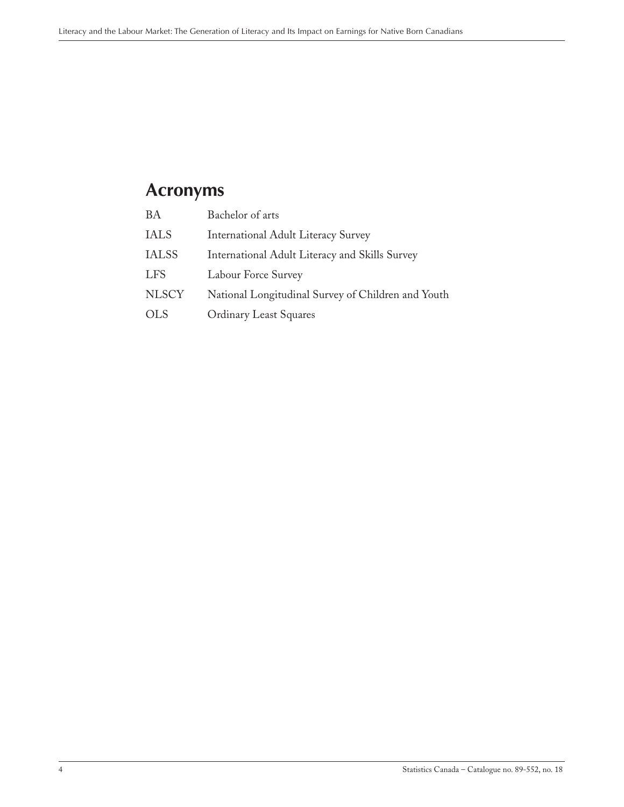## <span id="page-3-0"></span>**Acronyms**

| <b>BA</b>    | Bachelor of arts                                   |
|--------------|----------------------------------------------------|
| <b>IALS</b>  | <b>International Adult Literacy Survey</b>         |
| <b>IALSS</b> | International Adult Literacy and Skills Survey     |
| <b>LFS</b>   | Labour Force Survey                                |
| <b>NLSCY</b> | National Longitudinal Survey of Children and Youth |
| <b>OLS</b>   | <b>Ordinary Least Squares</b>                      |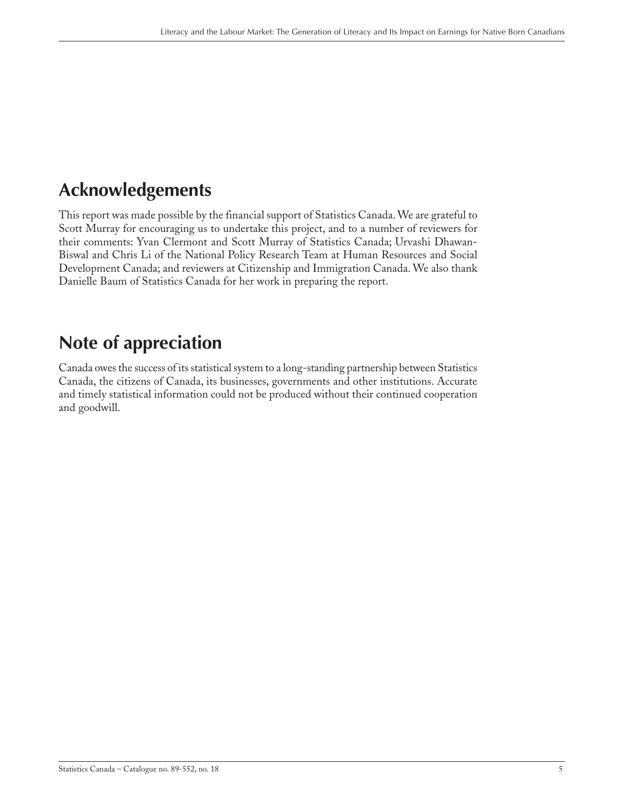## <span id="page-4-0"></span>**Acknowledgements**

This report was made possible by the financial support of Statistics Canada. We are grateful to Scott Murray for encouraging us to undertake this project, and to a number of reviewers for their comments: Yvan Clermont and Scott Murray of Statistics Canada; Urvashi Dhawan-Biswal and Chris Li of the National Policy Research Team at Human Resources and Social Development Canada; and reviewers at Citizenship and Immigration Canada. We also thank Danielle Baum of Statistics Canada for her work in preparing the report.

## **Note of appreciation**

Canada owes the success of its statistical system to a long-standing partnership between Statistics Canada, the citizens of Canada, its businesses, governments and other institutions. Accurate and timely statistical information could not be produced without their continued cooperation and goodwill.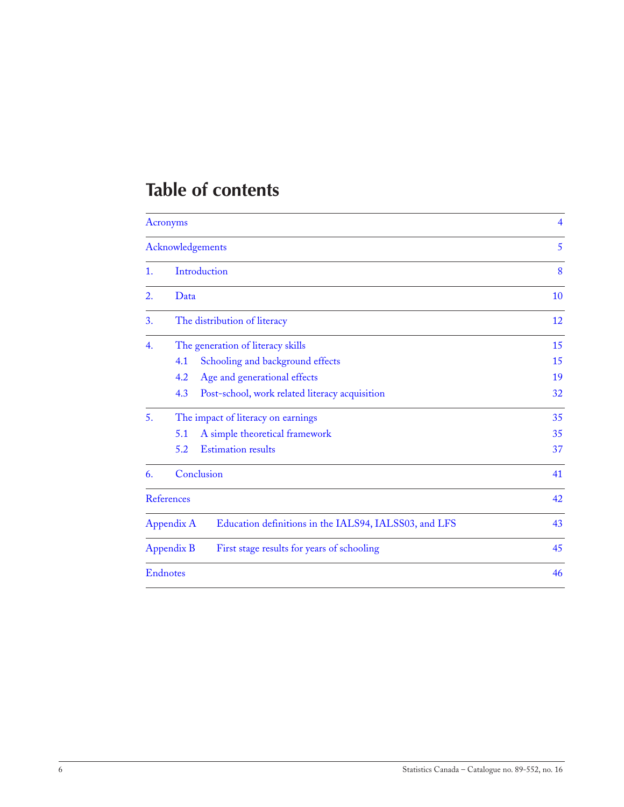## **Table of contents**

|                | <b>Acronyms</b>                                                     | $\overline{4}$ |
|----------------|---------------------------------------------------------------------|----------------|
|                | Acknowledgements                                                    | 5              |
| $\mathbf{1}$ . | Introduction                                                        | 8              |
| 2.             | Data                                                                | 10             |
| 3.             | The distribution of literacy                                        | 12             |
| 4.             | The generation of literacy skills                                   | 15             |
|                | Schooling and background effects<br>4.1                             | 15             |
|                | Age and generational effects<br>4.2                                 | 19             |
|                | Post-school, work related literacy acquisition<br>4.3               | 32             |
| 5.             | The impact of literacy on earnings                                  | 35             |
|                | A simple theoretical framework<br>5.1                               | 35             |
|                | <b>Estimation results</b><br>5.2                                    | 37             |
| 6.             | Conclusion                                                          | 41             |
|                | References                                                          | 42             |
|                | Education definitions in the IALS94, IALSS03, and LFS<br>Appendix A | 43             |
|                | Appendix B<br>First stage results for years of schooling            | 45             |
|                | Endnotes                                                            | 46             |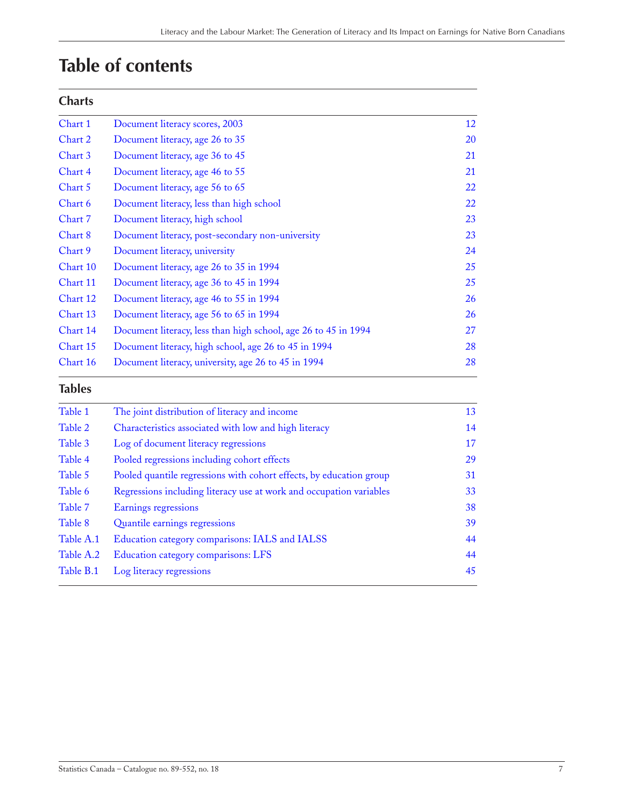## **Table of contents**

### **Charts**

| Chart 1  | Document literacy scores, 2003                                 | 12 |
|----------|----------------------------------------------------------------|----|
| Chart 2  | Document literacy, age 26 to 35                                | 20 |
| Chart 3  | Document literacy, age 36 to 45                                | 21 |
| Chart 4  | Document literacy, age 46 to 55                                | 21 |
| Chart 5  | Document literacy, age 56 to 65                                | 22 |
| Chart 6  | Document literacy, less than high school                       | 22 |
| Chart 7  | Document literacy, high school                                 | 23 |
| Chart 8  | Document literacy, post-secondary non-university               | 23 |
| Chart 9  | Document literacy, university                                  | 24 |
| Chart 10 | Document literacy, age 26 to 35 in 1994                        | 25 |
| Chart 11 | Document literacy, age 36 to 45 in 1994                        | 25 |
| Chart 12 | Document literacy, age 46 to 55 in 1994                        | 26 |
| Chart 13 | Document literacy, age 56 to 65 in 1994                        | 26 |
| Chart 14 | Document literacy, less than high school, age 26 to 45 in 1994 | 27 |
| Chart 15 | Document literacy, high school, age 26 to 45 in 1994           | 28 |
| Chart 16 | Document literacy, university, age 26 to 45 in 1994            | 28 |
|          |                                                                |    |

### **Tables**

| Table 1   | The joint distribution of literacy and income                       | 13 |
|-----------|---------------------------------------------------------------------|----|
| Table 2   | Characteristics associated with low and high literacy               | 14 |
| Table 3   | Log of document literacy regressions                                | 17 |
| Table 4   | Pooled regressions including cohort effects                         | 29 |
| Table 5   | Pooled quantile regressions with cohort effects, by education group | 31 |
| Table 6   | Regressions including literacy use at work and occupation variables | 33 |
| Table 7   | Earnings regressions                                                | 38 |
| Table 8   | Quantile earnings regressions                                       | 39 |
| Table A.1 | Education category comparisons: IALS and IALSS                      | 44 |
| Table A.2 | Education category comparisons: LFS                                 | 44 |
| Table B.1 | Log literacy regressions                                            | 45 |
|           |                                                                     |    |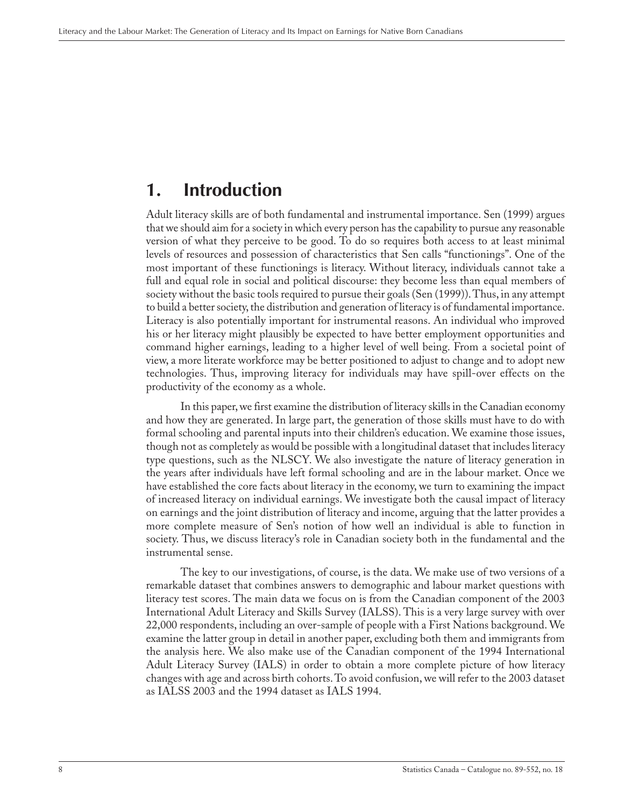## <span id="page-7-0"></span>**1. Introduction**

Adult literacy skills are of both fundamental and instrumental importance. Sen (1999) argues that we should aim for a society in which every person has the capability to pursue any reasonable version of what they perceive to be good. To do so requires both access to at least minimal levels of resources and possession of characteristics that Sen calls "functionings". One of the most important of these functionings is literacy. Without literacy, individuals cannot take a full and equal role in social and political discourse: they become less than equal members of society without the basic tools required to pursue their goals (Sen (1999)). Thus, in any attempt to build a better society, the distribution and generation of literacy is of fundamental importance. Literacy is also potentially important for instrumental reasons. An individual who improved his or her literacy might plausibly be expected to have better employment opportunities and command higher earnings, leading to a higher level of well being. From a societal point of view, a more literate workforce may be better positioned to adjust to change and to adopt new technologies. Thus, improving literacy for individuals may have spill-over effects on the productivity of the economy as a whole.

In this paper, we first examine the distribution of literacy skills in the Canadian economy and how they are generated. In large part, the generation of those skills must have to do with formal schooling and parental inputs into their children's education. We examine those issues, though not as completely as would be possible with a longitudinal dataset that includes literacy type questions, such as the NLSCY. We also investigate the nature of literacy generation in the years after individuals have left formal schooling and are in the labour market. Once we have established the core facts about literacy in the economy, we turn to examining the impact of increased literacy on individual earnings. We investigate both the causal impact of literacy on earnings and the joint distribution of literacy and income, arguing that the latter provides a more complete measure of Sen's notion of how well an individual is able to function in society. Thus, we discuss literacy's role in Canadian society both in the fundamental and the instrumental sense.

The key to our investigations, of course, is the data. We make use of two versions of a remarkable dataset that combines answers to demographic and labour market questions with literacy test scores. The main data we focus on is from the Canadian component of the 2003 International Adult Literacy and Skills Survey (IALSS). This is a very large survey with over 22,000 respondents, including an over-sample of people with a First Nations background. We examine the latter group in detail in another paper, excluding both them and immigrants from the analysis here. We also make use of the Canadian component of the 1994 International Adult Literacy Survey (IALS) in order to obtain a more complete picture of how literacy changes with age and across birth cohorts. To avoid confusion, we will refer to the 2003 dataset as IALSS 2003 and the 1994 dataset as IALS 1994.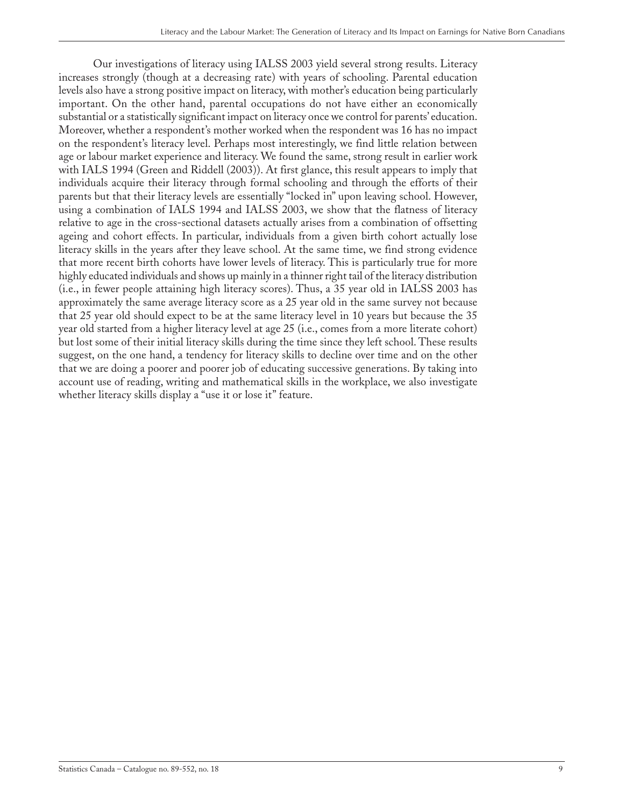Our investigations of literacy using IALSS 2003 yield several strong results. Literacy increases strongly (though at a decreasing rate) with years of schooling. Parental education levels also have a strong positive impact on literacy, with mother's education being particularly important. On the other hand, parental occupations do not have either an economically substantial or a statistically significant impact on literacy once we control for parents' education. Moreover, whether a respondent's mother worked when the respondent was 16 has no impact on the respondent's literacy level. Perhaps most interestingly, we find little relation between age or labour market experience and literacy. We found the same, strong result in earlier work with IALS 1994 (Green and Riddell (2003)). At first glance, this result appears to imply that individuals acquire their literacy through formal schooling and through the efforts of their parents but that their literacy levels are essentially "locked in" upon leaving school. However, using a combination of IALS 1994 and IALSS 2003, we show that the flatness of literacy relative to age in the cross-sectional datasets actually arises from a combination of offsetting ageing and cohort effects. In particular, individuals from a given birth cohort actually lose literacy skills in the years after they leave school. At the same time, we find strong evidence that more recent birth cohorts have lower levels of literacy. This is particularly true for more highly educated individuals and shows up mainly in a thinner right tail of the literacy distribution (i.e., in fewer people attaining high literacy scores). Thus, a 35 year old in IALSS 2003 has approximately the same average literacy score as a 25 year old in the same survey not because that 25 year old should expect to be at the same literacy level in 10 years but because the 35 year old started from a higher literacy level at age 25 (i.e., comes from a more literate cohort) but lost some of their initial literacy skills during the time since they left school. These results suggest, on the one hand, a tendency for literacy skills to decline over time and on the other that we are doing a poorer and poorer job of educating successive generations. By taking into account use of reading, writing and mathematical skills in the workplace, we also investigate whether literacy skills display a "use it or lose it" feature.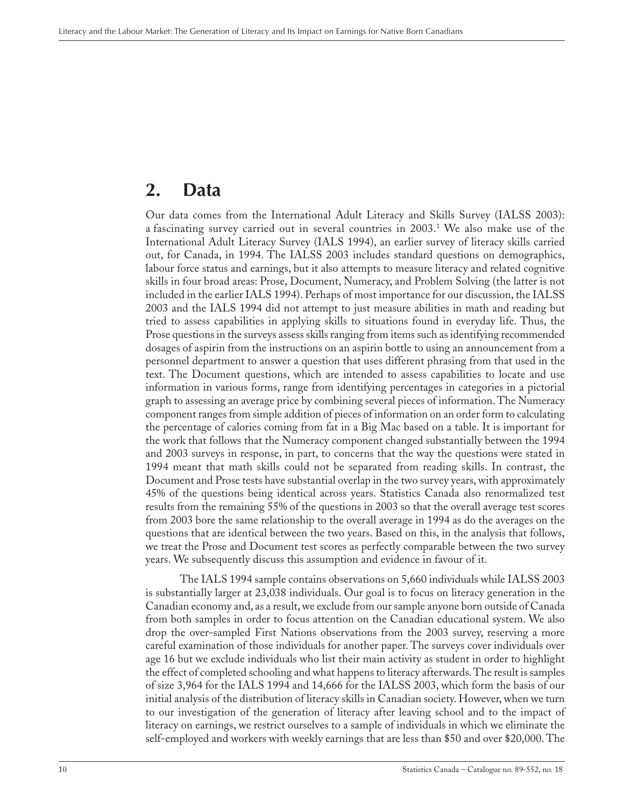### <span id="page-9-0"></span>**2. Data**

Our data comes from the International Adult Literacy and Skills Survey (IALSS 2003): a fascinating survey carried out in several countries in 2003.<sup>1</sup> We also make use of the International Adult Literacy Survey (IALS 1994), an earlier survey of literacy skills carried out, for Canada, in 1994. The IALSS 2003 includes standard questions on demographics, labour force status and earnings, but it also attempts to measure literacy and related cognitive skills in four broad areas: Prose, Document, Numeracy, and Problem Solving (the latter is not included in the earlier IALS 1994). Perhaps of most importance for our discussion, the IALSS 2003 and the IALS 1994 did not attempt to just measure abilities in math and reading but tried to assess capabilities in applying skills to situations found in everyday life. Thus, the Prose questions in the surveys assess skills ranging from items such as identifying recommended dosages of aspirin from the instructions on an aspirin bottle to using an announcement from a personnel department to answer a question that uses different phrasing from that used in the text. The Document questions, which are intended to assess capabilities to locate and use information in various forms, range from identifying percentages in categories in a pictorial graph to assessing an average price by combining several pieces of information. The Numeracy component ranges from simple addition of pieces of information on an order form to calculating the percentage of calories coming from fat in a Big Mac based on a table. It is important for the work that follows that the Numeracy component changed substantially between the 1994 and 2003 surveys in response, in part, to concerns that the way the questions were stated in 1994 meant that math skills could not be separated from reading skills. In contrast, the Document and Prose tests have substantial overlap in the two survey years, with approximately 45% of the questions being identical across years. Statistics Canada also renormalized test results from the remaining 55% of the questions in 2003 so that the overall average test scores from 2003 bore the same relationship to the overall average in 1994 as do the averages on the questions that are identical between the two years. Based on this, in the analysis that follows, we treat the Prose and Document test scores as perfectly comparable between the two survey years. We subsequently discuss this assumption and evidence in favour of it.

The IALS 1994 sample contains observations on 5,660 individuals while IALSS 2003 is substantially larger at 23,038 individuals. Our goal is to focus on literacy generation in the Canadian economy and, as a result, we exclude from our sample anyone born outside of Canada from both samples in order to focus attention on the Canadian educational system. We also drop the over-sampled First Nations observations from the 2003 survey, reserving a more careful examination of those individuals for another paper. The surveys cover individuals over age 16 but we exclude individuals who list their main activity as student in order to highlight the effect of completed schooling and what happens to literacy afterwards. The result is samples of size 3,964 for the IALS 1994 and 14,666 for the IALSS 2003, which form the basis of our initial analysis of the distribution of literacy skills in Canadian society. However, when we turn to our investigation of the generation of literacy after leaving school and to the impact of literacy on earnings, we restrict ourselves to a sample of individuals in which we eliminate the self-employed and workers with weekly earnings that are less than \$50 and over \$20,000. The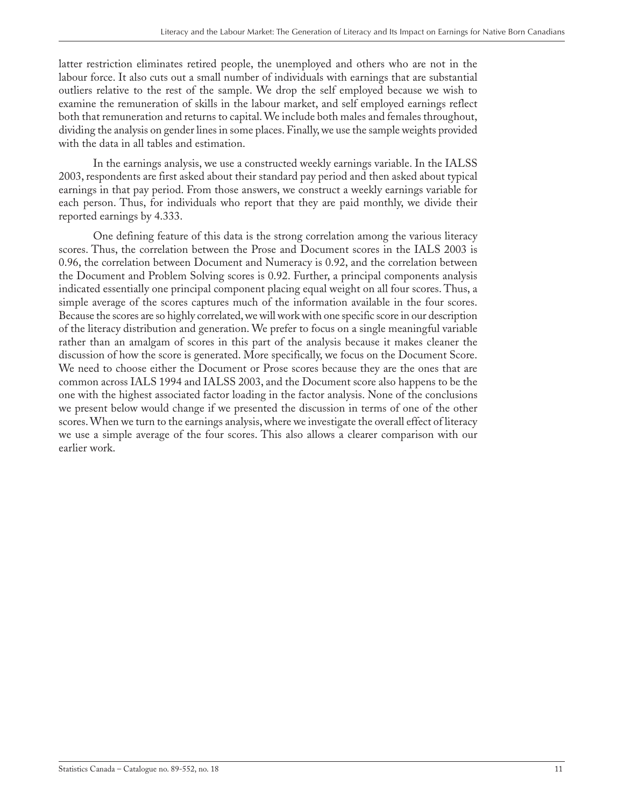latter restriction eliminates retired people, the unemployed and others who are not in the labour force. It also cuts out a small number of individuals with earnings that are substantial outliers relative to the rest of the sample. We drop the self employed because we wish to examine the remuneration of skills in the labour market, and self employed earnings reflect both that remuneration and returns to capital. We include both males and females throughout, dividing the analysis on gender lines in some places. Finally, we use the sample weights provided with the data in all tables and estimation.

In the earnings analysis, we use a constructed weekly earnings variable. In the IALSS 2003, respondents are first asked about their standard pay period and then asked about typical earnings in that pay period. From those answers, we construct a weekly earnings variable for each person. Thus, for individuals who report that they are paid monthly, we divide their reported earnings by 4.333.

One defining feature of this data is the strong correlation among the various literacy scores. Thus, the correlation between the Prose and Document scores in the IALS 2003 is 0.96, the correlation between Document and Numeracy is 0.92, and the correlation between the Document and Problem Solving scores is 0.92. Further, a principal components analysis indicated essentially one principal component placing equal weight on all four scores. Thus, a simple average of the scores captures much of the information available in the four scores. Because the scores are so highly correlated, we will work with one specific score in our description of the literacy distribution and generation. We prefer to focus on a single meaningful variable rather than an amalgam of scores in this part of the analysis because it makes cleaner the discussion of how the score is generated. More specifically, we focus on the Document Score. We need to choose either the Document or Prose scores because they are the ones that are common across IALS 1994 and IALSS 2003, and the Document score also happens to be the one with the highest associated factor loading in the factor analysis. None of the conclusions we present below would change if we presented the discussion in terms of one of the other scores. When we turn to the earnings analysis, where we investigate the overall effect of literacy we use a simple average of the four scores. This also allows a clearer comparison with our earlier work.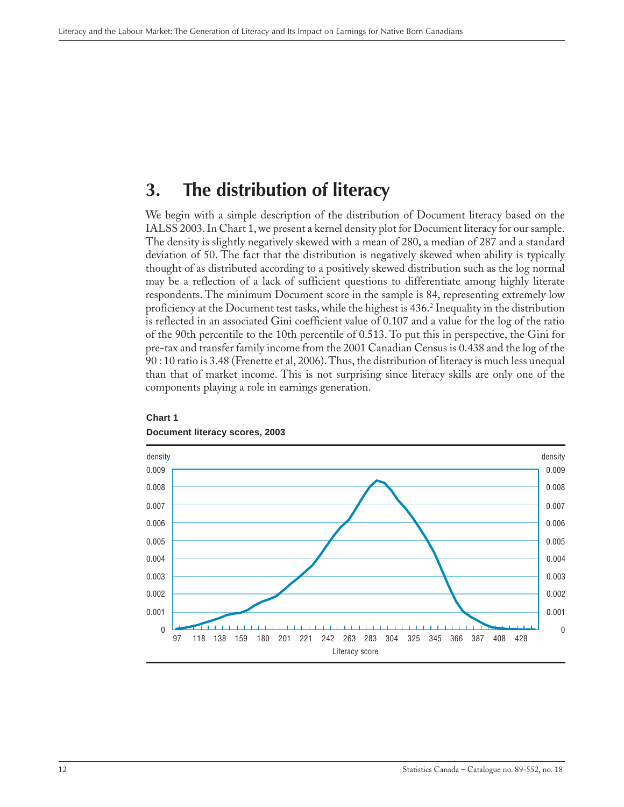## <span id="page-11-0"></span>**3. The distribution of literacy**

We begin with a simple description of the distribution of Document literacy based on the IALSS 2003. In Chart 1, we present a kernel density plot for Document literacy for our sample. The density is slightly negatively skewed with a mean of 280, a median of 287 and a standard deviation of 50. The fact that the distribution is negatively skewed when ability is typically thought of as distributed according to a positively skewed distribution such as the log normal may be a reflection of a lack of sufficient questions to differentiate among highly literate respondents. The minimum Document score in the sample is 84, representing extremely low proficiency at the Document test tasks, while the highest is 436. $^2$  Inequality in the distribution is reflected in an associated Gini coefficient value of 0.107 and a value for the log of the ratio of the 90th percentile to the 10th percentile of 0.513. To put this in perspective, the Gini for pre-tax and transfer family income from the 2001 Canadian Census is 0.438 and the log of the 90 : 10 ratio is 3.48 (Frenette et al, 2006). Thus, the distribution of literacy is much less unequal than that of market income. This is not surprising since literacy skills are only one of the components playing a role in earnings generation.



#### **Chart 1 Document literacy scores, 2003**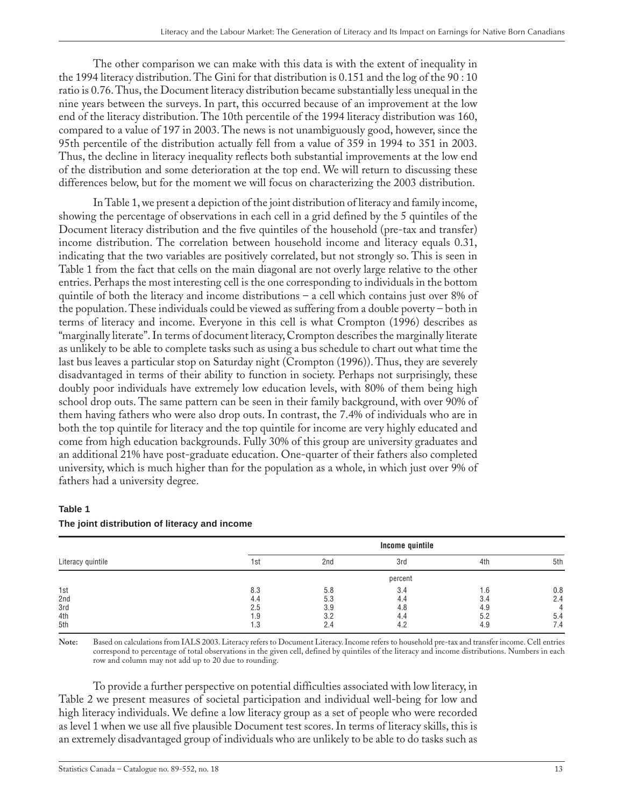<span id="page-12-0"></span>The other comparison we can make with this data is with the extent of inequality in the 1994 literacy distribution. The Gini for that distribution is 0.151 and the log of the 90 : 10 ratio is 0.76. Thus, the Document literacy distribution became substantially less unequal in the nine years between the surveys. In part, this occurred because of an improvement at the low end of the literacy distribution. The 10th percentile of the 1994 literacy distribution was 160, compared to a value of 197 in 2003. The news is not unambiguously good, however, since the 95th percentile of the distribution actually fell from a value of 359 in 1994 to 351 in 2003. Thus, the decline in literacy inequality reflects both substantial improvements at the low end of the distribution and some deterioration at the top end. We will return to discussing these differences below, but for the moment we will focus on characterizing the 2003 distribution.

In Table 1, we present a depiction of the joint distribution of literacy and family income, showing the percentage of observations in each cell in a grid defined by the 5 quintiles of the Document literacy distribution and the five quintiles of the household (pre-tax and transfer) income distribution. The correlation between household income and literacy equals 0.31, indicating that the two variables are positively correlated, but not strongly so. This is seen in Table 1 from the fact that cells on the main diagonal are not overly large relative to the other entries. Perhaps the most interesting cell is the one corresponding to individuals in the bottom quintile of both the literacy and income distributions – a cell which contains just over 8% of the population. These individuals could be viewed as suffering from a double poverty – both in terms of literacy and income. Everyone in this cell is what Crompton (1996) describes as "marginally literate". In terms of document literacy, Crompton describes the marginally literate as unlikely to be able to complete tasks such as using a bus schedule to chart out what time the last bus leaves a particular stop on Saturday night (Crompton (1996)). Thus, they are severely disadvantaged in terms of their ability to function in society. Perhaps not surprisingly, these doubly poor individuals have extremely low education levels, with 80% of them being high school drop outs. The same pattern can be seen in their family background, with over 90% of them having fathers who were also drop outs. In contrast, the 7.4% of individuals who are in both the top quintile for literacy and the top quintile for income are very highly educated and come from high education backgrounds. Fully 30% of this group are university graduates and an additional 21% have post-graduate education. One-quarter of their fathers also completed university, which is much higher than for the population as a whole, in which just over 9% of fathers had a university degree.

#### **Table 1**

#### **The joint distribution of literacy and income**

| Literacy quintile | Income quintile |     |         |     |     |  |  |  |
|-------------------|-----------------|-----|---------|-----|-----|--|--|--|
|                   | 1st             | 2nd | 3rd     | 4th | 5th |  |  |  |
|                   |                 |     | percent |     |     |  |  |  |
| 1st               | 8.3             | 5.8 | 3.4     | . 6 | 0.8 |  |  |  |
| 2nd               | 4.4             | 5.3 | 4.4     | 3.4 | 2.4 |  |  |  |
| 3rd               | 2.5             | 3.9 | 4.8     | 4.9 |     |  |  |  |
| 4th               | .9              | 3.2 | 4.4     | 5.2 | 5.4 |  |  |  |
| 5th               | 1.3             | 2.4 | 4.2     | 4.9 | 7.4 |  |  |  |

**Note:** Based on calculations from IALS 2003. Literacy refers to Document Literacy. Income refers to household pre-tax and transfer income. Cell entries correspond to percentage of total observations in the given cell, defined by quintiles of the literacy and income distributions. Numbers in each row and column may not add up to 20 due to rounding.

To provide a further perspective on potential difficulties associated with low literacy, in Table 2 we present measures of societal participation and individual well-being for low and high literacy individuals. We define a low literacy group as a set of people who were recorded as level 1 when we use all five plausible Document test scores. In terms of literacy skills, this is an extremely disadvantaged group of individuals who are unlikely to be able to do tasks such as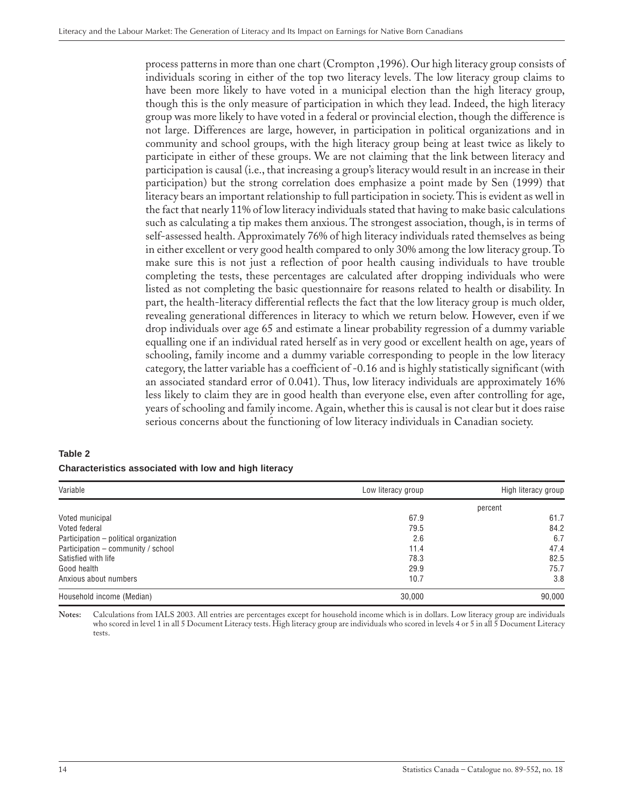<span id="page-13-0"></span>process patterns in more than one chart (Crompton ,1996). Our high literacy group consists of individuals scoring in either of the top two literacy levels. The low literacy group claims to have been more likely to have voted in a municipal election than the high literacy group, though this is the only measure of participation in which they lead. Indeed, the high literacy group was more likely to have voted in a federal or provincial election, though the difference is not large. Differences are large, however, in participation in political organizations and in community and school groups, with the high literacy group being at least twice as likely to participate in either of these groups. We are not claiming that the link between literacy and participation is causal (i.e., that increasing a group's literacy would result in an increase in their participation) but the strong correlation does emphasize a point made by Sen (1999) that literacy bears an important relationship to full participation in society. This is evident as well in the fact that nearly 11% of low literacy individuals stated that having to make basic calculations such as calculating a tip makes them anxious. The strongest association, though, is in terms of self-assessed health. Approximately 76% of high literacy individuals rated themselves as being in either excellent or very good health compared to only 30% among the low literacy group. To make sure this is not just a reflection of poor health causing individuals to have trouble completing the tests, these percentages are calculated after dropping individuals who were listed as not completing the basic questionnaire for reasons related to health or disability. In part, the health-literacy differential reflects the fact that the low literacy group is much older, revealing generational differences in literacy to which we return below. However, even if we drop individuals over age 65 and estimate a linear probability regression of a dummy variable equalling one if an individual rated herself as in very good or excellent health on age, years of schooling, family income and a dummy variable corresponding to people in the low literacy category, the latter variable has a coefficient of -0.16 and is highly statistically significant (with an associated standard error of 0.041). Thus, low literacy individuals are approximately 16% less likely to claim they are in good health than everyone else, even after controlling for age, years of schooling and family income. Again, whether this is causal is not clear but it does raise serious concerns about the functioning of low literacy individuals in Canadian society.

### **Table 2 Characteristics associated with low and high literacy**

| Variable                               | Low literacy group | High literacy group |
|----------------------------------------|--------------------|---------------------|
|                                        |                    | percent             |
| Voted municipal                        | 67.9               | 61.7                |
| Voted federal                          | 79.5               | 84.2                |
| Participation – political organization | 2.6                | 6.7                 |
| Participation – community / school     | 11.4               | 47.4                |
| Satisfied with life                    | 78.3               | 82.5                |
| Good health                            | 29.9               | 75.7                |
| Anxious about numbers                  | 10.7               | 3.8                 |
| Household income (Median)              | 30,000             | 90,000              |

**Notes:** Calculations from IALS 2003. All entries are percentages except for household income which is in dollars. Low literacy group are individuals who scored in level 1 in all 5 Document Literacy tests. High literacy group are individuals who scored in levels 4 or 5 in all 5 Document Literacy tests.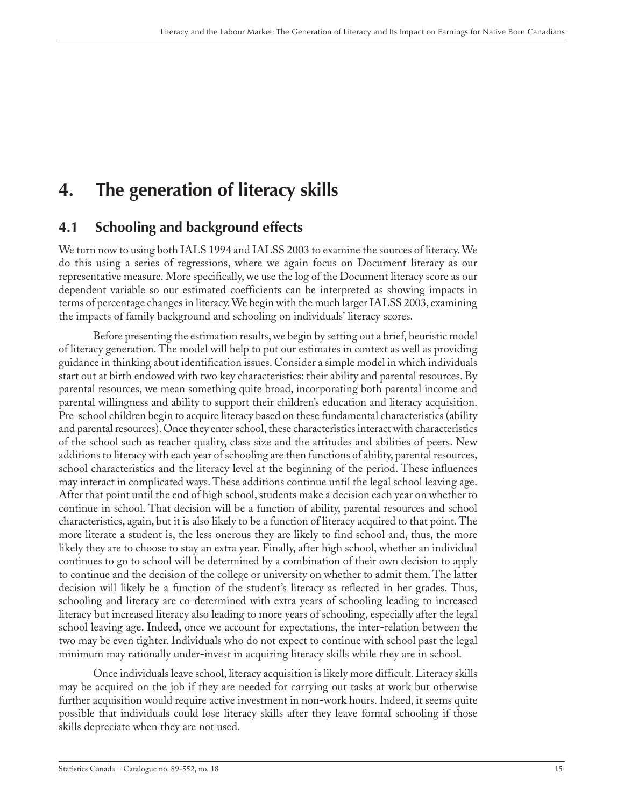## <span id="page-14-0"></span>**4. The generation of literacy skills**

### **4.1 Schooling and background effects**

We turn now to using both IALS 1994 and IALSS 2003 to examine the sources of literacy. We do this using a series of regressions, where we again focus on Document literacy as our representative measure. More specifically, we use the log of the Document literacy score as our dependent variable so our estimated coefficients can be interpreted as showing impacts in terms of percentage changes in literacy. We begin with the much larger IALSS 2003, examining the impacts of family background and schooling on individuals' literacy scores.

Before presenting the estimation results, we begin by setting out a brief, heuristic model of literacy generation. The model will help to put our estimates in context as well as providing guidance in thinking about identification issues. Consider a simple model in which individuals start out at birth endowed with two key characteristics: their ability and parental resources. By parental resources, we mean something quite broad, incorporating both parental income and parental willingness and ability to support their children's education and literacy acquisition. Pre-school children begin to acquire literacy based on these fundamental characteristics (ability and parental resources). Once they enter school, these characteristics interact with characteristics of the school such as teacher quality, class size and the attitudes and abilities of peers. New additions to literacy with each year of schooling are then functions of ability, parental resources, school characteristics and the literacy level at the beginning of the period. These influences may interact in complicated ways. These additions continue until the legal school leaving age. After that point until the end of high school, students make a decision each year on whether to continue in school. That decision will be a function of ability, parental resources and school characteristics, again, but it is also likely to be a function of literacy acquired to that point. The more literate a student is, the less onerous they are likely to find school and, thus, the more likely they are to choose to stay an extra year. Finally, after high school, whether an individual continues to go to school will be determined by a combination of their own decision to apply to continue and the decision of the college or university on whether to admit them. The latter decision will likely be a function of the student's literacy as reflected in her grades. Thus, schooling and literacy are co-determined with extra years of schooling leading to increased literacy but increased literacy also leading to more years of schooling, especially after the legal school leaving age. Indeed, once we account for expectations, the inter-relation between the two may be even tighter. Individuals who do not expect to continue with school past the legal minimum may rationally under-invest in acquiring literacy skills while they are in school.

Once individuals leave school, literacy acquisition is likely more difficult. Literacy skills may be acquired on the job if they are needed for carrying out tasks at work but otherwise further acquisition would require active investment in non-work hours. Indeed, it seems quite possible that individuals could lose literacy skills after they leave formal schooling if those skills depreciate when they are not used.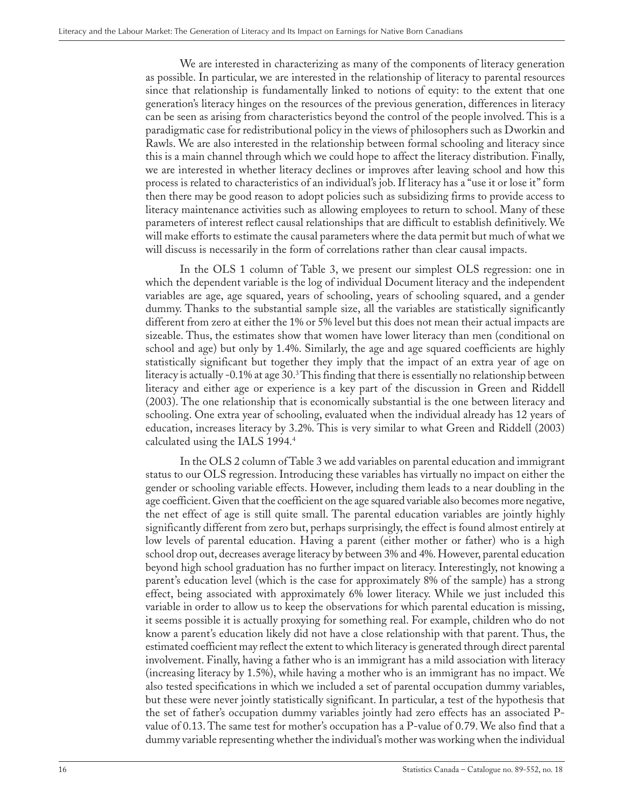We are interested in characterizing as many of the components of literacy generation as possible. In particular, we are interested in the relationship of literacy to parental resources since that relationship is fundamentally linked to notions of equity: to the extent that one generation's literacy hinges on the resources of the previous generation, differences in literacy can be seen as arising from characteristics beyond the control of the people involved. This is a paradigmatic case for redistributional policy in the views of philosophers such as Dworkin and Rawls. We are also interested in the relationship between formal schooling and literacy since this is a main channel through which we could hope to affect the literacy distribution. Finally, we are interested in whether literacy declines or improves after leaving school and how this process is related to characteristics of an individual's job. If literacy has a "use it or lose it" form then there may be good reason to adopt policies such as subsidizing firms to provide access to literacy maintenance activities such as allowing employees to return to school. Many of these parameters of interest reflect causal relationships that are difficult to establish definitively. We will make efforts to estimate the causal parameters where the data permit but much of what we will discuss is necessarily in the form of correlations rather than clear causal impacts.

In the OLS 1 column of Table 3, we present our simplest OLS regression: one in which the dependent variable is the log of individual Document literacy and the independent variables are age, age squared, years of schooling, years of schooling squared, and a gender dummy. Thanks to the substantial sample size, all the variables are statistically significantly different from zero at either the 1% or 5% level but this does not mean their actual impacts are sizeable. Thus, the estimates show that women have lower literacy than men (conditional on school and age) but only by 1.4%. Similarly, the age and age squared coefficients are highly statistically significant but together they imply that the impact of an extra year of age on literacy is actually -0.1% at age 30.3 This finding that there is essentially no relationship between literacy and either age or experience is a key part of the discussion in Green and Riddell (2003). The one relationship that is economically substantial is the one between literacy and schooling. One extra year of schooling, evaluated when the individual already has 12 years of education, increases literacy by 3.2%. This is very similar to what Green and Riddell (2003) calculated using the IALS 1994.4

In the OLS 2 column of Table 3 we add variables on parental education and immigrant status to our OLS regression. Introducing these variables has virtually no impact on either the gender or schooling variable effects. However, including them leads to a near doubling in the age coefficient. Given that the coefficient on the age squared variable also becomes more negative, the net effect of age is still quite small. The parental education variables are jointly highly significantly different from zero but, perhaps surprisingly, the effect is found almost entirely at low levels of parental education. Having a parent (either mother or father) who is a high school drop out, decreases average literacy by between 3% and 4%. However, parental education beyond high school graduation has no further impact on literacy. Interestingly, not knowing a parent's education level (which is the case for approximately 8% of the sample) has a strong effect, being associated with approximately 6% lower literacy. While we just included this variable in order to allow us to keep the observations for which parental education is missing, it seems possible it is actually proxying for something real. For example, children who do not know a parent's education likely did not have a close relationship with that parent. Thus, the estimated coefficient may reflect the extent to which literacy is generated through direct parental involvement. Finally, having a father who is an immigrant has a mild association with literacy (increasing literacy by 1.5%), while having a mother who is an immigrant has no impact. We also tested specifications in which we included a set of parental occupation dummy variables, but these were never jointly statistically significant. In particular, a test of the hypothesis that the set of father's occupation dummy variables jointly had zero effects has an associated Pvalue of 0.13. The same test for mother's occupation has a P-value of 0.79. We also find that a dummy variable representing whether the individual's mother was working when the individual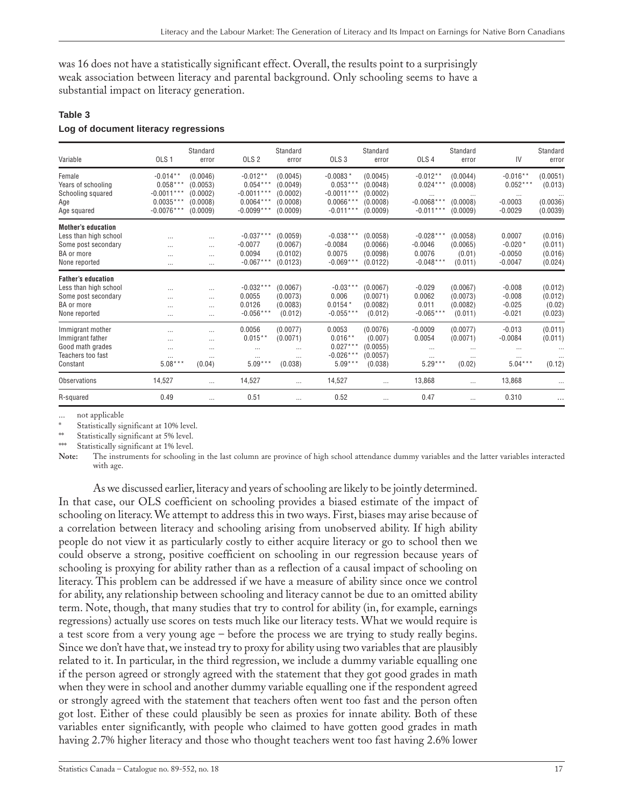<span id="page-16-0"></span>was 16 does not have a statistically significant effect. Overall, the results point to a surprisingly weak association between literacy and parental background. Only schooling seems to have a substantial impact on literacy generation.

#### **Table 3**

#### **Log of document literacy regressions**

| Variable                                                                                                        | OLS <sub>1</sub>                                                       | Standard<br>error                                        | OLS <sub>2</sub>                                                       | Standard<br>error                                        | OLS <sub>3</sub>                                                      | Standard<br>error                                        | OLS <sub>4</sub>                                                    | Standard<br>error                                        | IV                                                             | Standard<br>error                           |
|-----------------------------------------------------------------------------------------------------------------|------------------------------------------------------------------------|----------------------------------------------------------|------------------------------------------------------------------------|----------------------------------------------------------|-----------------------------------------------------------------------|----------------------------------------------------------|---------------------------------------------------------------------|----------------------------------------------------------|----------------------------------------------------------------|---------------------------------------------|
| Female<br>Years of schooling<br>Schooling squared<br>Age<br>Age squared                                         | $-0.014**$<br>$0.058**$<br>$-0.0011***$<br>$0.0035***$<br>$-0.0076***$ | (0.0046)<br>(0.0053)<br>(0.0002)<br>(0.0008)<br>(0.0009) | $-0.012**$<br>$0.054**$<br>$-0.0011***$<br>$0.0064***$<br>$-0.0099***$ | (0.0045)<br>(0.0049)<br>(0.0002)<br>(0.0008)<br>(0.0009) | $-0.0083*$<br>$0.053**$<br>$-0.0011***$<br>$0.0066***$<br>$-0.011***$ | (0.0045)<br>(0.0048)<br>(0.0002)<br>(0.0008)<br>(0.0009) | $-0.012**$<br>$0.024***$<br>$\cdots$<br>$-0.0068***$<br>$-0.011***$ | (0.0044)<br>(0.0008)<br>$\cdots$<br>(0.0008)<br>(0.0009) | $-0.016**$<br>$0.052***$<br>$\cdots$<br>$-0.0003$<br>$-0.0029$ | (0.0051)<br>(0.013)<br>(0.0036)<br>(0.0039) |
| <b>Mother's education</b><br>Less than high school<br>Some post secondary<br><b>BA</b> or more<br>None reported | $\cdots$<br><br>$\cdots$<br>                                           | $\cdots$<br>$\cdots$<br>$\cdots$<br>$\cdots$             | $-0.037***$<br>$-0.0077$<br>0.0094<br>$-0.067***$                      | (0.0059)<br>(0.0067)<br>(0.0102)<br>(0.0123)             | $-0.038***$<br>$-0.0084$<br>0.0075<br>$-0.069***$                     | (0.0058)<br>(0.0066)<br>(0.0098)<br>(0.0122)             | $-0.028***$<br>$-0.0046$<br>0.0076<br>$-0.048***$                   | (0.0058)<br>(0.0065)<br>(0.01)<br>(0.011)                | 0.0007<br>$-0.020*$<br>$-0.0050$<br>$-0.0047$                  | (0.016)<br>(0.011)<br>(0.016)<br>(0.024)    |
| <b>Father's education</b><br>Less than high school<br>Some post secondary<br><b>BA</b> or more<br>None reported | $\cdots$<br>$\cdots$<br>$\cdots$<br>                                   | $\cdots$<br>$\cdots$<br>$\cdots$<br>$\cdots$             | $-0.032*$<br>0.0055<br>0.0126<br>$-0.056***$                           | (0.0067)<br>(0.0073)<br>(0.0083)<br>(0.012)              | $-0.03***$<br>0.006<br>$0.0154*$<br>$-0.055***$                       | (0.0067)<br>(0.0071)<br>(0.0082)<br>(0.012)              | $-0.029$<br>0.0062<br>0.011<br>$-0.065***$                          | (0.0067)<br>(0.0073)<br>(0.0082)<br>(0.011)              | $-0.008$<br>$-0.008$<br>$-0.025$<br>$-0.021$                   | (0.012)<br>(0.012)<br>(0.02)<br>(0.023)     |
| Immigrant mother<br>Immigrant father<br>Good math grades<br>Teachers too fast<br>Constant                       | $\cdots$<br>$\cdots$<br>$\cdots$<br>$\cdots$<br>$5.08***$              | $\cdots$<br>$\cdots$<br>$\cdots$<br>$\cdots$<br>(0.04)   | 0.0056<br>$0.015**$<br>$\cdots$<br>$\cdots$<br>$5.09***$               | (0.0077)<br>(0.0071)<br>$\cdots$<br>$\cdots$<br>(0.038)  | 0.0053<br>$0.016**$<br>$0.027***$<br>$-0.026***$<br>$5.09***$         | (0.0076)<br>(0.007)<br>(0.0055)<br>(0.0057)<br>(0.038)   | $-0.0009$<br>0.0054<br>$\cdots$<br>$\cdots$<br>$5.29***$            | (0.0077)<br>(0.0071)<br><br>$\cdots$<br>(0.02)           | $-0.013$<br>$-0.0084$<br>$\cdots$<br>$\cdots$<br>$5.04***$     | (0.011)<br>(0.011)<br>$\cdots$<br>(0.12)    |
| Observations                                                                                                    | 14,527                                                                 | $\cdots$                                                 | 14,527                                                                 | $\cdots$                                                 | 14,527                                                                | $\cdots$                                                 | 13,868                                                              |                                                          | 13,868                                                         | $\cdots$                                    |
| R-squared                                                                                                       | 0.49                                                                   | $\cdots$                                                 | 0.51                                                                   | $\cdots$                                                 | 0.52                                                                  | $\cdots$                                                 | 0.47                                                                |                                                          | 0.310                                                          | $\cdots$                                    |

not applicable

Statistically significant at 10% level.

Statistically significant at 5% level.

\*\*\* Statistically significant at 1% level.

**Note:** The instruments for schooling in the last column are province of high school attendance dummy variables and the latter variables interacted with age.

As we discussed earlier, literacy and years of schooling are likely to be jointly determined. In that case, our OLS coefficient on schooling provides a biased estimate of the impact of schooling on literacy. We attempt to address this in two ways. First, biases may arise because of a correlation between literacy and schooling arising from unobserved ability. If high ability people do not view it as particularly costly to either acquire literacy or go to school then we could observe a strong, positive coefficient on schooling in our regression because years of schooling is proxying for ability rather than as a reflection of a causal impact of schooling on literacy. This problem can be addressed if we have a measure of ability since once we control for ability, any relationship between schooling and literacy cannot be due to an omitted ability term. Note, though, that many studies that try to control for ability (in, for example, earnings regressions) actually use scores on tests much like our literacy tests. What we would require is a test score from a very young age – before the process we are trying to study really begins. Since we don't have that, we instead try to proxy for ability using two variables that are plausibly related to it. In particular, in the third regression, we include a dummy variable equalling one if the person agreed or strongly agreed with the statement that they got good grades in math when they were in school and another dummy variable equalling one if the respondent agreed or strongly agreed with the statement that teachers often went too fast and the person often got lost. Either of these could plausibly be seen as proxies for innate ability. Both of these variables enter significantly, with people who claimed to have gotten good grades in math having 2.7% higher literacy and those who thought teachers went too fast having 2.6% lower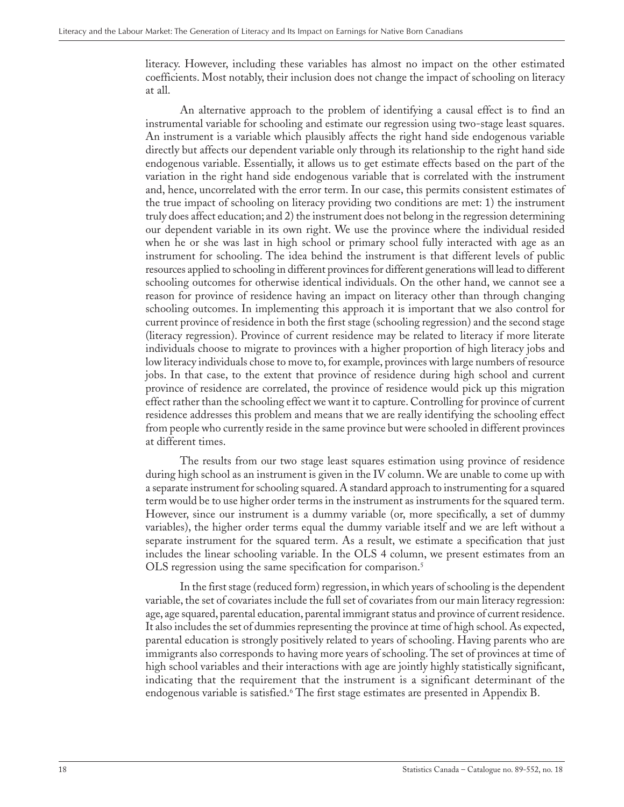literacy. However, including these variables has almost no impact on the other estimated coefficients. Most notably, their inclusion does not change the impact of schooling on literacy at all.

An alternative approach to the problem of identifying a causal effect is to find an instrumental variable for schooling and estimate our regression using two-stage least squares. An instrument is a variable which plausibly affects the right hand side endogenous variable directly but affects our dependent variable only through its relationship to the right hand side endogenous variable. Essentially, it allows us to get estimate effects based on the part of the variation in the right hand side endogenous variable that is correlated with the instrument and, hence, uncorrelated with the error term. In our case, this permits consistent estimates of the true impact of schooling on literacy providing two conditions are met: 1) the instrument truly does affect education; and 2) the instrument does not belong in the regression determining our dependent variable in its own right. We use the province where the individual resided when he or she was last in high school or primary school fully interacted with age as an instrument for schooling. The idea behind the instrument is that different levels of public resources applied to schooling in different provinces for different generations will lead to different schooling outcomes for otherwise identical individuals. On the other hand, we cannot see a reason for province of residence having an impact on literacy other than through changing schooling outcomes. In implementing this approach it is important that we also control for current province of residence in both the first stage (schooling regression) and the second stage (literacy regression). Province of current residence may be related to literacy if more literate individuals choose to migrate to provinces with a higher proportion of high literacy jobs and low literacy individuals chose to move to, for example, provinces with large numbers of resource jobs. In that case, to the extent that province of residence during high school and current province of residence are correlated, the province of residence would pick up this migration effect rather than the schooling effect we want it to capture. Controlling for province of current residence addresses this problem and means that we are really identifying the schooling effect from people who currently reside in the same province but were schooled in different provinces at different times.

The results from our two stage least squares estimation using province of residence during high school as an instrument is given in the IV column. We are unable to come up with a separate instrument for schooling squared. A standard approach to instrumenting for a squared term would be to use higher order terms in the instrument as instruments for the squared term. However, since our instrument is a dummy variable (or, more specifically, a set of dummy variables), the higher order terms equal the dummy variable itself and we are left without a separate instrument for the squared term. As a result, we estimate a specification that just includes the linear schooling variable. In the OLS 4 column, we present estimates from an OLS regression using the same specification for comparison.<sup>5</sup>

In the first stage (reduced form) regression, in which years of schooling is the dependent variable, the set of covariates include the full set of covariates from our main literacy regression: age, age squared, parental education, parental immigrant status and province of current residence. It also includes the set of dummies representing the province at time of high school. As expected, parental education is strongly positively related to years of schooling. Having parents who are immigrants also corresponds to having more years of schooling. The set of provinces at time of high school variables and their interactions with age are jointly highly statistically significant, indicating that the requirement that the instrument is a significant determinant of the endogenous variable is satisfied.<sup>6</sup> The first stage estimates are presented in Appendix B.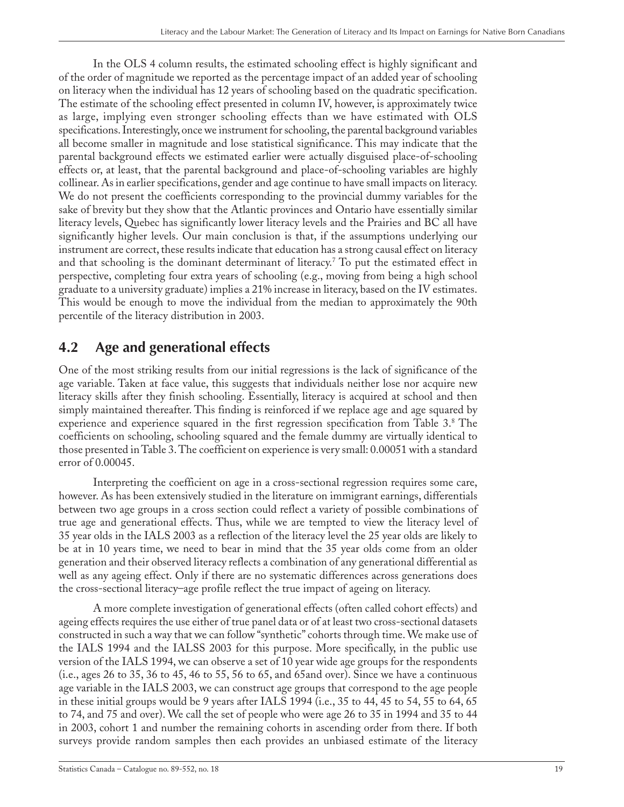<span id="page-18-0"></span>In the OLS 4 column results, the estimated schooling effect is highly significant and of the order of magnitude we reported as the percentage impact of an added year of schooling on literacy when the individual has 12 years of schooling based on the quadratic specification. The estimate of the schooling effect presented in column IV, however, is approximately twice as large, implying even stronger schooling effects than we have estimated with OLS specifications. Interestingly, once we instrument for schooling, the parental background variables all become smaller in magnitude and lose statistical significance. This may indicate that the parental background effects we estimated earlier were actually disguised place-of-schooling effects or, at least, that the parental background and place-of-schooling variables are highly collinear. As in earlier specifications, gender and age continue to have small impacts on literacy. We do not present the coefficients corresponding to the provincial dummy variables for the sake of brevity but they show that the Atlantic provinces and Ontario have essentially similar literacy levels, Quebec has significantly lower literacy levels and the Prairies and BC all have significantly higher levels. Our main conclusion is that, if the assumptions underlying our instrument are correct, these results indicate that education has a strong causal effect on literacy and that schooling is the dominant determinant of literacy.7 To put the estimated effect in perspective, completing four extra years of schooling (e.g., moving from being a high school graduate to a university graduate) implies a 21% increase in literacy, based on the IV estimates. This would be enough to move the individual from the median to approximately the 90th percentile of the literacy distribution in 2003.

### **4.2 Age and generational effects**

One of the most striking results from our initial regressions is the lack of significance of the age variable. Taken at face value, this suggests that individuals neither lose nor acquire new literacy skills after they finish schooling. Essentially, literacy is acquired at school and then simply maintained thereafter. This finding is reinforced if we replace age and age squared by experience and experience squared in the first regression specification from Table 3.8 The coefficients on schooling, schooling squared and the female dummy are virtually identical to those presented in Table 3. The coefficient on experience is very small: 0.00051 with a standard error of 0.00045.

Interpreting the coefficient on age in a cross-sectional regression requires some care, however. As has been extensively studied in the literature on immigrant earnings, differentials between two age groups in a cross section could reflect a variety of possible combinations of true age and generational effects. Thus, while we are tempted to view the literacy level of 35 year olds in the IALS 2003 as a reflection of the literacy level the 25 year olds are likely to be at in 10 years time, we need to bear in mind that the 35 year olds come from an older generation and their observed literacy reflects a combination of any generational differential as well as any ageing effect. Only if there are no systematic differences across generations does the cross-sectional literacy–age profile reflect the true impact of ageing on literacy.

A more complete investigation of generational effects (often called cohort effects) and ageing effects requires the use either of true panel data or of at least two cross-sectional datasets constructed in such a way that we can follow "synthetic" cohorts through time. We make use of the IALS 1994 and the IALSS 2003 for this purpose. More specifically, in the public use version of the IALS 1994, we can observe a set of 10 year wide age groups for the respondents (i.e., ages 26 to 35, 36 to 45, 46 to 55, 56 to 65, and 65and over). Since we have a continuous age variable in the IALS 2003, we can construct age groups that correspond to the age people in these initial groups would be 9 years after IALS 1994 (i.e., 35 to 44, 45 to 54, 55 to 64, 65 to 74, and 75 and over). We call the set of people who were age 26 to 35 in 1994 and 35 to 44 in 2003, cohort 1 and number the remaining cohorts in ascending order from there. If both surveys provide random samples then each provides an unbiased estimate of the literacy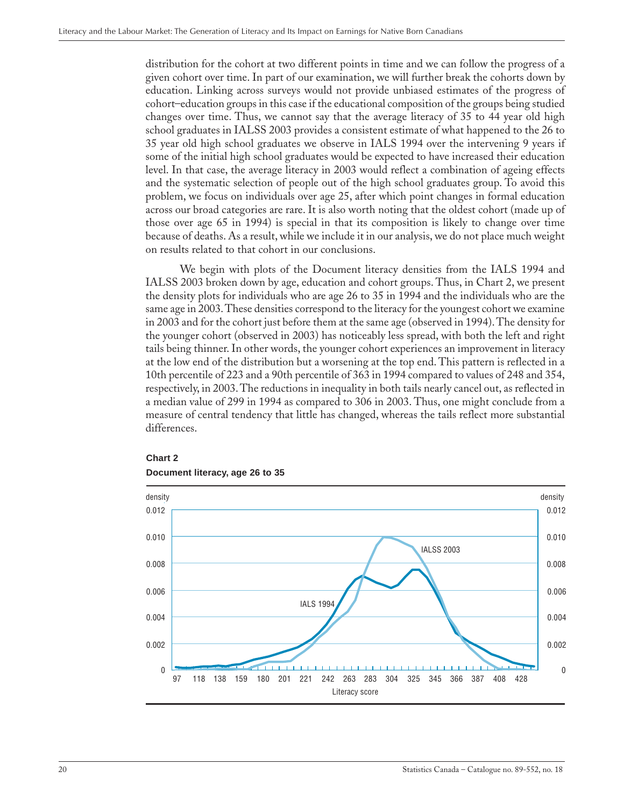<span id="page-19-0"></span>distribution for the cohort at two different points in time and we can follow the progress of a given cohort over time. In part of our examination, we will further break the cohorts down by education. Linking across surveys would not provide unbiased estimates of the progress of cohort–education groups in this case if the educational composition of the groups being studied changes over time. Thus, we cannot say that the average literacy of 35 to 44 year old high school graduates in IALSS 2003 provides a consistent estimate of what happened to the 26 to 35 year old high school graduates we observe in IALS 1994 over the intervening 9 years if some of the initial high school graduates would be expected to have increased their education level. In that case, the average literacy in 2003 would reflect a combination of ageing effects and the systematic selection of people out of the high school graduates group. To avoid this problem, we focus on individuals over age 25, after which point changes in formal education across our broad categories are rare. It is also worth noting that the oldest cohort (made up of those over age 65 in 1994) is special in that its composition is likely to change over time because of deaths. As a result, while we include it in our analysis, we do not place much weight on results related to that cohort in our conclusions.

We begin with plots of the Document literacy densities from the IALS 1994 and IALSS 2003 broken down by age, education and cohort groups. Thus, in Chart 2, we present the density plots for individuals who are age 26 to 35 in 1994 and the individuals who are the same age in 2003. These densities correspond to the literacy for the youngest cohort we examine in 2003 and for the cohort just before them at the same age (observed in 1994). The density for the younger cohort (observed in 2003) has noticeably less spread, with both the left and right tails being thinner. In other words, the younger cohort experiences an improvement in literacy at the low end of the distribution but a worsening at the top end. This pattern is reflected in a 10th percentile of 223 and a 90th percentile of 363 in 1994 compared to values of 248 and 354, respectively, in 2003. The reductions in inequality in both tails nearly cancel out, as reflected in a median value of 299 in 1994 as compared to 306 in 2003. Thus, one might conclude from a measure of central tendency that little has changed, whereas the tails reflect more substantial differences.

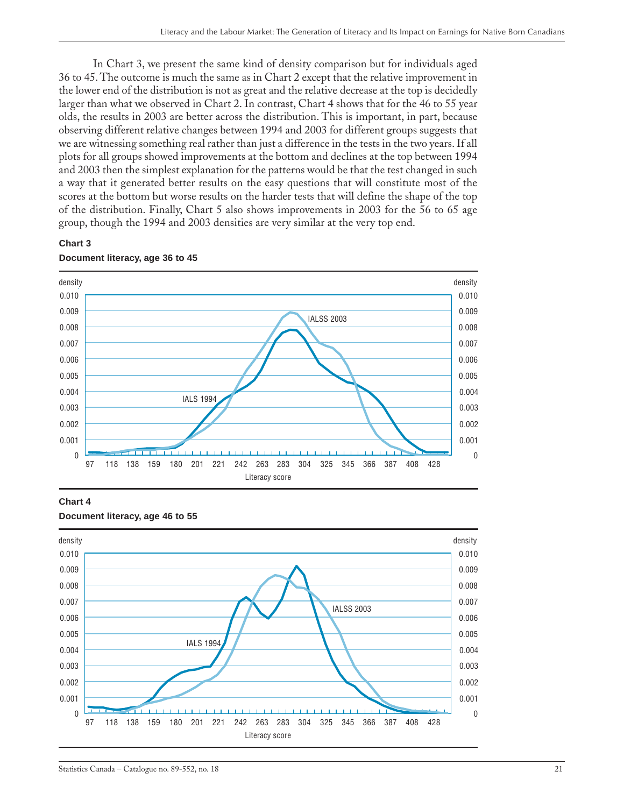<span id="page-20-0"></span>In Chart 3, we present the same kind of density comparison but for individuals aged 36 to 45. The outcome is much the same as in Chart 2 except that the relative improvement in the lower end of the distribution is not as great and the relative decrease at the top is decidedly larger than what we observed in Chart 2. In contrast, Chart 4 shows that for the 46 to 55 year olds, the results in 2003 are better across the distribution. This is important, in part, because observing different relative changes between 1994 and 2003 for different groups suggests that we are witnessing something real rather than just a difference in the tests in the two years. If all plots for all groups showed improvements at the bottom and declines at the top between 1994 and 2003 then the simplest explanation for the patterns would be that the test changed in such a way that it generated better results on the easy questions that will constitute most of the scores at the bottom but worse results on the harder tests that will define the shape of the top of the distribution. Finally, Chart 5 also shows improvements in 2003 for the 56 to 65 age group, though the 1994 and 2003 densities are very similar at the very top end.





**Chart 4 Document literacy, age 46 to 55**

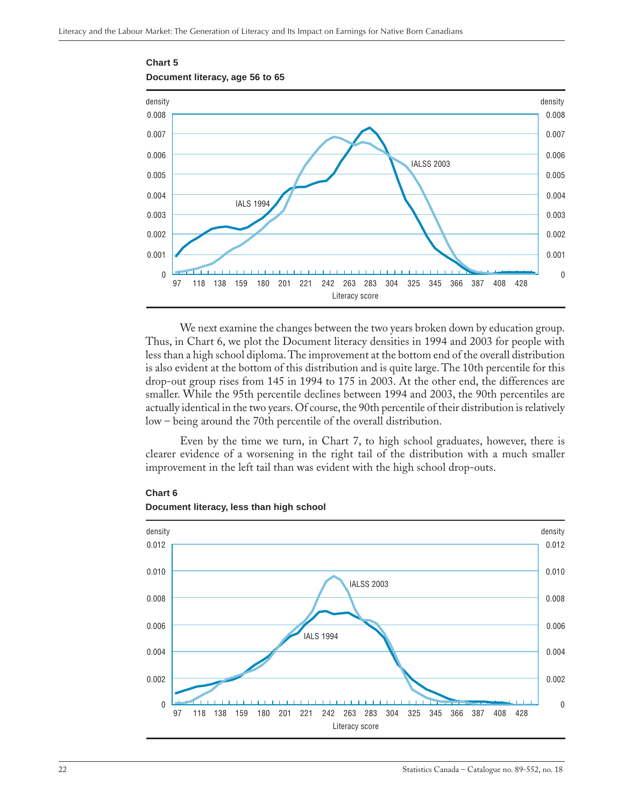

<span id="page-21-0"></span>**Chart 5 Document literacy, age 56 to 65**

We next examine the changes between the two years broken down by education group. Thus, in Chart 6, we plot the Document literacy densities in 1994 and 2003 for people with less than a high school diploma. The improvement at the bottom end of the overall distribution is also evident at the bottom of this distribution and is quite large. The 10th percentile for this drop-out group rises from 145 in 1994 to 175 in 2003. At the other end, the differences are smaller. While the 95th percentile declines between 1994 and 2003, the 90th percentiles are actually identical in the two years. Of course, the 90th percentile of their distribution is relatively low – being around the 70th percentile of the overall distribution.

Even by the time we turn, in Chart 7, to high school graduates, however, there is clearer evidence of a worsening in the right tail of the distribution with a much smaller improvement in the left tail than was evident with the high school drop-outs.



**Document literacy, less than high school**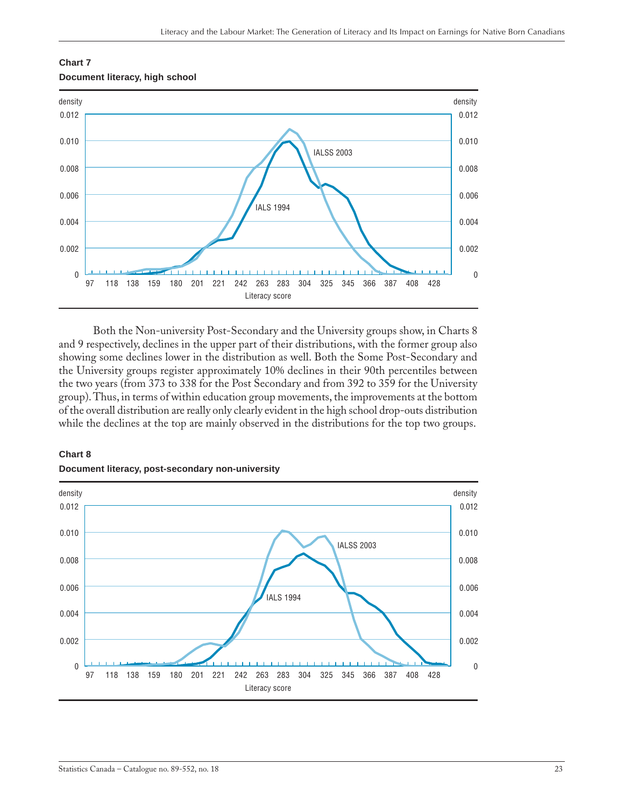<span id="page-22-0"></span>



Both the Non-university Post-Secondary and the University groups show, in Charts 8 and 9 respectively, declines in the upper part of their distributions, with the former group also showing some declines lower in the distribution as well. Both the Some Post-Secondary and the University groups register approximately 10% declines in their 90th percentiles between the two years (from 373 to 338 for the Post Secondary and from 392 to 359 for the University group). Thus, in terms of within education group movements, the improvements at the bottom of the overall distribution are really only clearly evident in the high school drop-outs distribution while the declines at the top are mainly observed in the distributions for the top two groups.

### **Chart 8 Document literacy, post-secondary non-university**

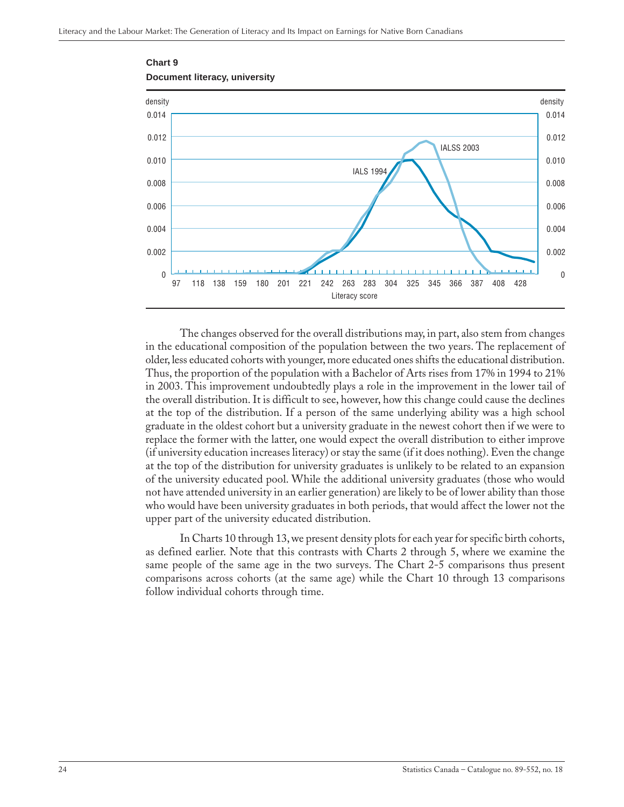

### **Document literacy, university**

<span id="page-23-0"></span>**Chart 9**

The changes observed for the overall distributions may, in part, also stem from changes in the educational composition of the population between the two years. The replacement of older, less educated cohorts with younger, more educated ones shifts the educational distribution. Thus, the proportion of the population with a Bachelor of Arts rises from 17% in 1994 to 21% in 2003. This improvement undoubtedly plays a role in the improvement in the lower tail of the overall distribution. It is difficult to see, however, how this change could cause the declines at the top of the distribution. If a person of the same underlying ability was a high school graduate in the oldest cohort but a university graduate in the newest cohort then if we were to replace the former with the latter, one would expect the overall distribution to either improve (if university education increases literacy) or stay the same (if it does nothing). Even the change at the top of the distribution for university graduates is unlikely to be related to an expansion of the university educated pool. While the additional university graduates (those who would not have attended university in an earlier generation) are likely to be of lower ability than those who would have been university graduates in both periods, that would affect the lower not the upper part of the university educated distribution.

In Charts 10 through 13, we present density plots for each year for specific birth cohorts, as defined earlier. Note that this contrasts with Charts 2 through 5, where we examine the same people of the same age in the two surveys. The Chart 2-5 comparisons thus present comparisons across cohorts (at the same age) while the Chart 10 through 13 comparisons follow individual cohorts through time.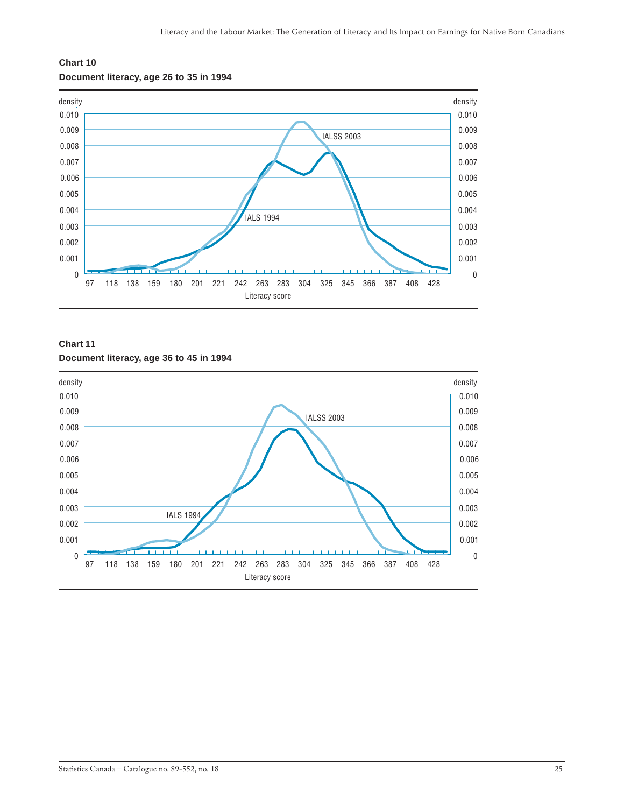#### <span id="page-24-0"></span>**Chart 10**





#### **Chart 11**

#### **Document literacy, age 36 to 45 in 1994**

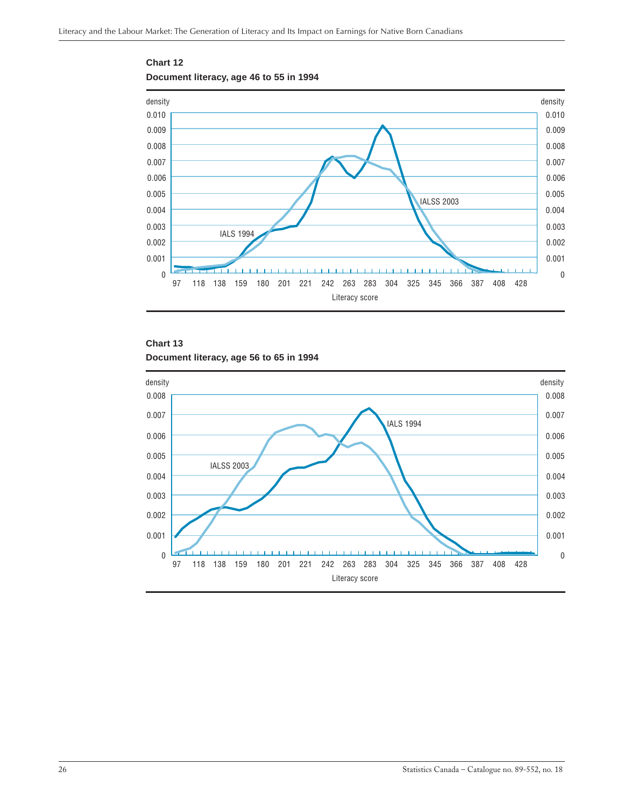

#### <span id="page-25-0"></span>**Chart 12 Document literacy, age 46 to 55 in 1994**

#### **Chart 13 Document literacy, age 56 to 65 in 1994**

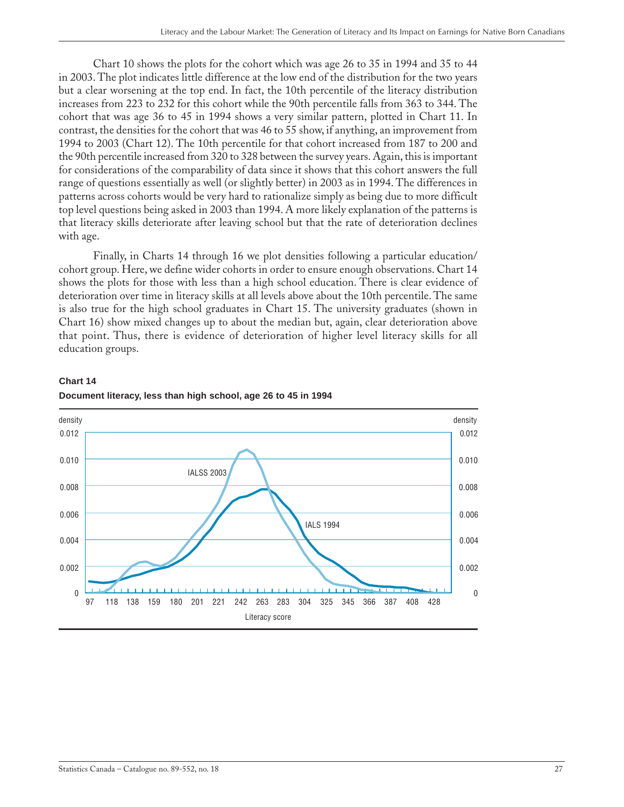<span id="page-26-0"></span>Chart 10 shows the plots for the cohort which was age 26 to 35 in 1994 and 35 to 44 in 2003. The plot indicates little difference at the low end of the distribution for the two years but a clear worsening at the top end. In fact, the 10th percentile of the literacy distribution increases from 223 to 232 for this cohort while the 90th percentile falls from 363 to 344. The cohort that was age 36 to 45 in 1994 shows a very similar pattern, plotted in Chart 11. In contrast, the densities for the cohort that was 46 to 55 show, if anything, an improvement from 1994 to 2003 (Chart 12). The 10th percentile for that cohort increased from 187 to 200 and the 90th percentile increased from 320 to 328 between the survey years. Again, this is important for considerations of the comparability of data since it shows that this cohort answers the full range of questions essentially as well (or slightly better) in 2003 as in 1994. The differences in patterns across cohorts would be very hard to rationalize simply as being due to more difficult top level questions being asked in 2003 than 1994. A more likely explanation of the patterns is that literacy skills deteriorate after leaving school but that the rate of deterioration declines with age.

Finally, in Charts 14 through 16 we plot densities following a particular education/ cohort group. Here, we define wider cohorts in order to ensure enough observations. Chart 14 shows the plots for those with less than a high school education. There is clear evidence of deterioration over time in literacy skills at all levels above about the 10th percentile. The same is also true for the high school graduates in Chart 15. The university graduates (shown in Chart 16) show mixed changes up to about the median but, again, clear deterioration above that point. Thus, there is evidence of deterioration of higher level literacy skills for all education groups.



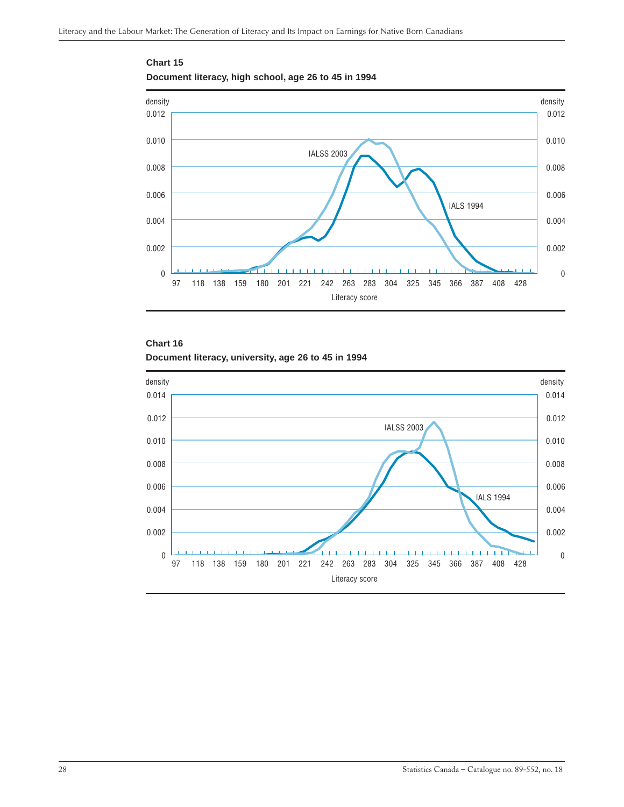

<span id="page-27-0"></span>

### **Chart 16 Document literacy, university, age 26 to 45 in 1994**

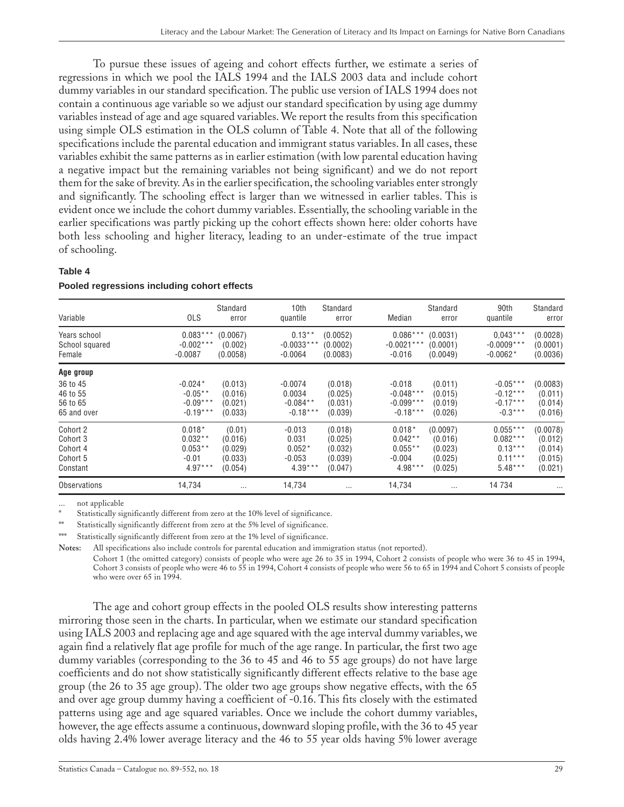<span id="page-28-0"></span>To pursue these issues of ageing and cohort effects further, we estimate a series of regressions in which we pool the IALS 1994 and the IALS 2003 data and include cohort dummy variables in our standard specification. The public use version of IALS 1994 does not contain a continuous age variable so we adjust our standard specification by using age dummy variables instead of age and age squared variables. We report the results from this specification using simple OLS estimation in the OLS column of Table 4. Note that all of the following specifications include the parental education and immigrant status variables. In all cases, these variables exhibit the same patterns as in earlier estimation (with low parental education having a negative impact but the remaining variables not being significant) and we do not report them for the sake of brevity. As in the earlier specification, the schooling variables enter strongly and significantly. The schooling effect is larger than we witnessed in earlier tables. This is evident once we include the cohort dummy variables. Essentially, the schooling variable in the earlier specifications was partly picking up the cohort effects shown here: older cohorts have both less schooling and higher literacy, leading to an under-estimate of the true impact of schooling.

#### **Table 4**

#### **Pooled regressions including cohort effects**

| Variable                                        | <b>OLS</b>                                         | Standard<br>error                        | 10 <sub>th</sub><br>quantile                    | Standard<br>error                        | Median                                               | Standard<br>error                        | 90th<br>quantile                                    | Standard<br>error                         |
|-------------------------------------------------|----------------------------------------------------|------------------------------------------|-------------------------------------------------|------------------------------------------|------------------------------------------------------|------------------------------------------|-----------------------------------------------------|-------------------------------------------|
| Years school<br>School squared<br>Female        | $0.083***$<br>$-0.002***$<br>$-0.0087$             | (0.0067)<br>(0.002)<br>(0.0058)          | $0.13***$<br>$-0.0033***$<br>$-0.0064$          | (0.0052)<br>(0.0002)<br>(0.0083)         | $0.086***$<br>$-0.0021$<br>$-0.016$                  | (0.0031)<br>(0.0001)<br>(0.0049)         | $0.043***$<br>$-0.0009$ ***<br>$-0.0062*$           | (0.0028)<br>(0.0001)<br>(0.0036)          |
| Age group                                       |                                                    |                                          |                                                 |                                          |                                                      |                                          |                                                     |                                           |
| 36 to 45<br>46 to 55<br>56 to 65<br>65 and over | $-0.024*$<br>$-0.05**$<br>$-0.09***$<br>$-0.19***$ | (0.013)<br>(0.016)<br>(0.021)<br>(0.033) | $-0.0074$<br>0.0034<br>$-0.084**$<br>$-0.18***$ | (0.018)<br>(0.025)<br>(0.031)<br>(0.039) | $-0.018$<br>$-0.048***$<br>$-0.099***$<br>$-0.18***$ | (0.011)<br>(0.015)<br>(0.019)<br>(0.026) | $-0.05***$<br>$-0.12***$<br>$-0.17***$<br>$-0.3***$ | (0.0083)<br>(0.011)<br>(0.014)<br>(0.016) |
| Cohort 2                                        | $0.018*$                                           | (0.01)                                   | $-0.013$                                        | (0.018)                                  | $0.018*$                                             | (0.0097)                                 | $0.055***$                                          | (0.0078)                                  |
| Cohort 3                                        | $0.032**$                                          | (0.016)                                  | 0.031                                           | (0.025)                                  | $0.042**$                                            | (0.016)                                  | $0.082***$                                          | (0.012)                                   |
| Cohort 4                                        | $0.053**$                                          | (0.029)                                  | $0.052*$                                        | (0.032)                                  | $0.055**$                                            | (0.023)                                  | $0.13***$                                           | (0.014)                                   |
| Cohort 5                                        | $-0.01$                                            | (0.033)                                  | $-0.053$                                        | (0.039)                                  | $-0.004$                                             | (0.025)                                  | $0.11***$                                           | (0.015)                                   |
| Constant                                        | $4.97***$                                          | (0.054)                                  | $4.39***$                                       | (0.047)                                  | $4.98***$                                            | (0.025)                                  | $5.48***$                                           | (0.021)                                   |
| <b>Observations</b>                             | 14.734                                             | $\cdots$                                 | 14,734                                          | $\cdots$                                 | 14,734                                               | $\cdots$                                 | 14 734                                              | $\cdots$                                  |

not applicable

Statistically significantly different from zero at the 10% level of significance.

\*\* Statistically significantly different from zero at the 5% level of significance.

\*\*\* Statistically significantly different from zero at the 1% level of significance.

**Notes:** All specifications also include controls for parental education and immigration status (not reported).

Cohort 1 (the omitted category) consists of people who were age 26 to 35 in 1994, Cohort 2 consists of people who were 36 to 45 in 1994, Cohort 3 consists of people who were 46 to 55 in 1994, Cohort 4 consists of people who were 56 to 65 in 1994 and Cohort 5 consists of people who were over 65 in 1994.

The age and cohort group effects in the pooled OLS results show interesting patterns mirroring those seen in the charts. In particular, when we estimate our standard specification using IALS 2003 and replacing age and age squared with the age interval dummy variables, we again find a relatively flat age profile for much of the age range. In particular, the first two age dummy variables (corresponding to the 36 to 45 and 46 to 55 age groups) do not have large coefficients and do not show statistically significantly different effects relative to the base age group (the 26 to 35 age group). The older two age groups show negative effects, with the 65 and over age group dummy having a coefficient of -0.16. This fits closely with the estimated patterns using age and age squared variables. Once we include the cohort dummy variables, however, the age effects assume a continuous, downward sloping profile, with the 36 to 45 year olds having 2.4% lower average literacy and the 46 to 55 year olds having 5% lower average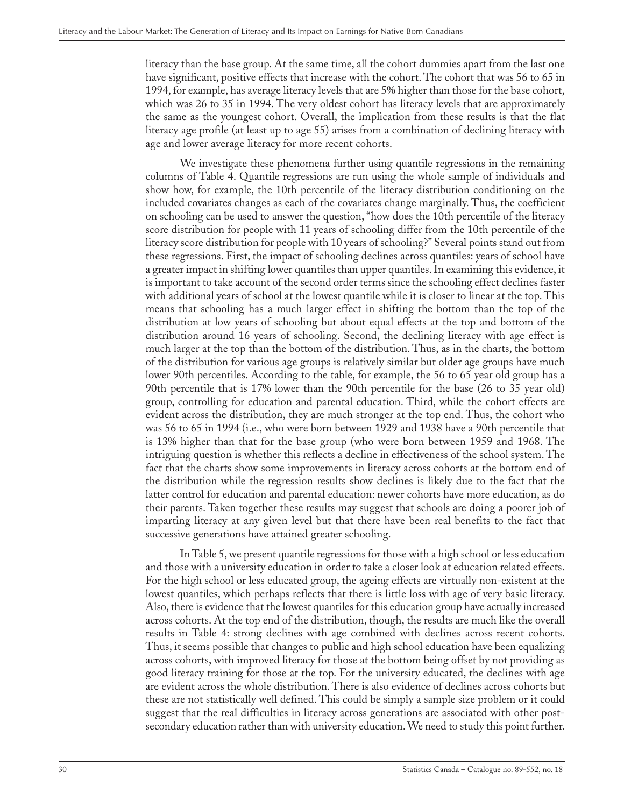literacy than the base group. At the same time, all the cohort dummies apart from the last one have significant, positive effects that increase with the cohort. The cohort that was 56 to 65 in 1994, for example, has average literacy levels that are 5% higher than those for the base cohort, which was 26 to 35 in 1994. The very oldest cohort has literacy levels that are approximately the same as the youngest cohort. Overall, the implication from these results is that the flat literacy age profile (at least up to age 55) arises from a combination of declining literacy with age and lower average literacy for more recent cohorts.

We investigate these phenomena further using quantile regressions in the remaining columns of Table 4. Quantile regressions are run using the whole sample of individuals and show how, for example, the 10th percentile of the literacy distribution conditioning on the included covariates changes as each of the covariates change marginally. Thus, the coefficient on schooling can be used to answer the question, "how does the 10th percentile of the literacy score distribution for people with 11 years of schooling differ from the 10th percentile of the literacy score distribution for people with 10 years of schooling?" Several points stand out from these regressions. First, the impact of schooling declines across quantiles: years of school have a greater impact in shifting lower quantiles than upper quantiles. In examining this evidence, it is important to take account of the second order terms since the schooling effect declines faster with additional years of school at the lowest quantile while it is closer to linear at the top. This means that schooling has a much larger effect in shifting the bottom than the top of the distribution at low years of schooling but about equal effects at the top and bottom of the distribution around 16 years of schooling. Second, the declining literacy with age effect is much larger at the top than the bottom of the distribution. Thus, as in the charts, the bottom of the distribution for various age groups is relatively similar but older age groups have much lower 90th percentiles. According to the table, for example, the 56 to 65 year old group has a 90th percentile that is 17% lower than the 90th percentile for the base (26 to 35 year old) group, controlling for education and parental education. Third, while the cohort effects are evident across the distribution, they are much stronger at the top end. Thus, the cohort who was 56 to 65 in 1994 (i.e., who were born between 1929 and 1938 have a 90th percentile that is 13% higher than that for the base group (who were born between 1959 and 1968. The intriguing question is whether this reflects a decline in effectiveness of the school system. The fact that the charts show some improvements in literacy across cohorts at the bottom end of the distribution while the regression results show declines is likely due to the fact that the latter control for education and parental education: newer cohorts have more education, as do their parents. Taken together these results may suggest that schools are doing a poorer job of imparting literacy at any given level but that there have been real benefits to the fact that successive generations have attained greater schooling.

In Table 5, we present quantile regressions for those with a high school or less education and those with a university education in order to take a closer look at education related effects. For the high school or less educated group, the ageing effects are virtually non-existent at the lowest quantiles, which perhaps reflects that there is little loss with age of very basic literacy. Also, there is evidence that the lowest quantiles for this education group have actually increased across cohorts. At the top end of the distribution, though, the results are much like the overall results in Table 4: strong declines with age combined with declines across recent cohorts. Thus, it seems possible that changes to public and high school education have been equalizing across cohorts, with improved literacy for those at the bottom being offset by not providing as good literacy training for those at the top. For the university educated, the declines with age are evident across the whole distribution. There is also evidence of declines across cohorts but these are not statistically well defined. This could be simply a sample size problem or it could suggest that the real difficulties in literacy across generations are associated with other postsecondary education rather than with university education. We need to study this point further.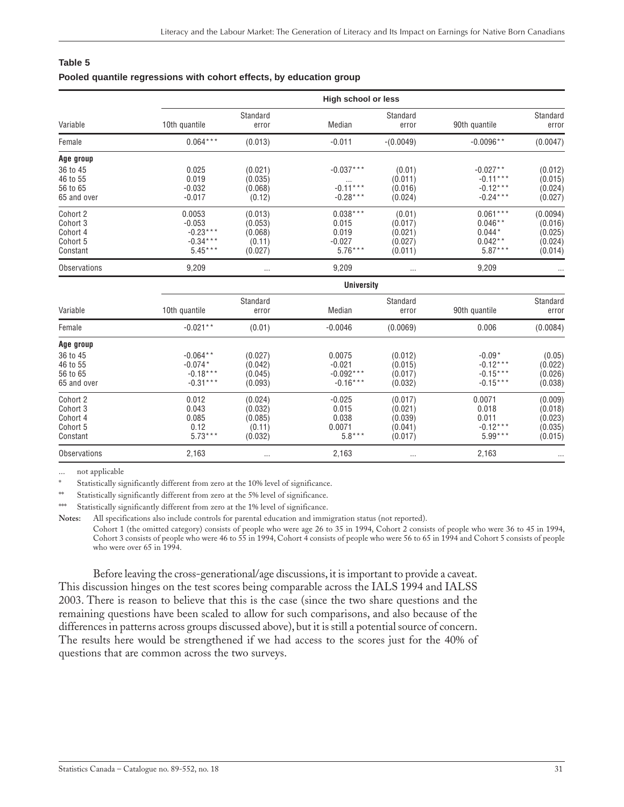#### <span id="page-30-0"></span>**Table 5**

#### **Pooled quantile regressions with cohort effects, by education group**

| Variable                                                 | High school or less                                         |                                                    |                                                       |                                                    |                                                               |                                                      |  |  |  |
|----------------------------------------------------------|-------------------------------------------------------------|----------------------------------------------------|-------------------------------------------------------|----------------------------------------------------|---------------------------------------------------------------|------------------------------------------------------|--|--|--|
|                                                          | 10th quantile                                               | Standard<br>error                                  | Median                                                | Standard<br>error                                  | 90th quantile                                                 | Standard<br>error                                    |  |  |  |
| Female                                                   | $0.064***$                                                  | (0.013)                                            | $-0.011$                                              | $-(0.0049)$                                        | $-0.0096**$                                                   | (0.0047)                                             |  |  |  |
| Age group                                                |                                                             |                                                    |                                                       |                                                    |                                                               |                                                      |  |  |  |
| 36 to 45<br>46 to 55<br>56 to 65<br>65 and over          | 0.025<br>0.019<br>$-0.032$<br>$-0.017$                      | (0.021)<br>(0.035)<br>(0.068)<br>(0.12)            | $-0.037***$<br>$\cdots$<br>$-0.11***$<br>$-0.28***$   | (0.01)<br>(0.011)<br>(0.016)<br>(0.024)            | $-0.027**$<br>$-0.11***$<br>$-0.12***$<br>$-0.24***$          | (0.012)<br>(0.015)<br>(0.024)<br>(0.027)             |  |  |  |
| Cohort 2<br>Cohort 3<br>Cohort 4<br>Cohort 5<br>Constant | 0.0053<br>$-0.053$<br>$-0.23***$<br>$-0.34***$<br>$5.45***$ | (0.013)<br>(0.053)<br>(0.068)<br>(0.11)<br>(0.027) | $0.038***$<br>0.015<br>0.019<br>$-0.027$<br>$5.76***$ | (0.01)<br>(0.017)<br>(0.021)<br>(0.027)<br>(0.011) | $0.061***$<br>$0.046**$<br>$0.044*$<br>$0.042**$<br>$5.87***$ | (0.0094)<br>(0.016)<br>(0.025)<br>(0.024)<br>(0.014) |  |  |  |
| <b>Observations</b>                                      | 9,209                                                       | $\cdots$                                           | 9,209                                                 | $\cdots$                                           | 9,209                                                         | $\cdots$                                             |  |  |  |

| Variable                                                 | <b>University</b>                                   |                                                    |                                                  |                                                     |                                                     |                                                     |  |  |  |
|----------------------------------------------------------|-----------------------------------------------------|----------------------------------------------------|--------------------------------------------------|-----------------------------------------------------|-----------------------------------------------------|-----------------------------------------------------|--|--|--|
|                                                          | 10th quantile                                       | Standard<br>error                                  | Median                                           | Standard<br>error                                   | 90th quantile                                       | Standard<br>error                                   |  |  |  |
| Female                                                   | $-0.021**$                                          | (0.01)                                             | $-0.0046$                                        | (0.0069)                                            | 0.006                                               | (0.0084)                                            |  |  |  |
| Age group                                                |                                                     |                                                    |                                                  |                                                     |                                                     |                                                     |  |  |  |
| 36 to 45<br>46 to 55<br>56 to 65<br>65 and over          | $-0.064**$<br>$-0.074*$<br>$-0.18***$<br>$-0.31***$ | (0.027)<br>(0.042)<br>(0.045)<br>(0.093)           | 0.0075<br>$-0.021$<br>$-0.092***$<br>$-0.16***$  | (0.012)<br>(0.015)<br>(0.017)<br>(0.032)            | $-0.09*$<br>$-0.12***$<br>$-0.15***$<br>$-0.15***$  | (0.05)<br>(0.022)<br>(0.026)<br>(0.038)             |  |  |  |
| Cohort 2<br>Cohort 3<br>Cohort 4<br>Cohort 5<br>Constant | 0.012<br>0.043<br>0.085<br>0.12<br>$5.73***$        | (0.024)<br>(0.032)<br>(0.085)<br>(0.11)<br>(0.032) | $-0.025$<br>0.015<br>0.038<br>0.0071<br>$5.8***$ | (0.017)<br>(0.021)<br>(0.039)<br>(0.041)<br>(0.017) | 0.0071<br>0.018<br>0.011<br>$-0.12***$<br>$5.99***$ | (0.009)<br>(0.018)<br>(0.023)<br>(0.035)<br>(0.015) |  |  |  |
| <b>Observations</b>                                      | 2,163                                               | $\cdots$                                           | 2,163                                            | $\cdots$                                            | 2,163                                               | $\cdots$                                            |  |  |  |

... not applicable

\* Statistically significantly different from zero at the 10% level of significance.<br>\*\* Statistically significantly different from zero at the 5% level of significance

Statistically significantly different from zero at the 5% level of significance.

\*\*\* Statistically significantly different from zero at the 1% level of significance.

**Notes:** All specifications also include controls for parental education and immigration status (not reported).

Cohort 1 (the omitted category) consists of people who were age 26 to 35 in 1994, Cohort 2 consists of people who were 36 to 45 in 1994, Cohort 3 consists of people who were 46 to 55 in 1994, Cohort 4 consists of people who were 56 to 65 in 1994 and Cohort 5 consists of people who were over 65 in 1994.

Before leaving the cross-generational/age discussions, it is important to provide a caveat. This discussion hinges on the test scores being comparable across the IALS 1994 and IALSS 2003. There is reason to believe that this is the case (since the two share questions and the remaining questions have been scaled to allow for such comparisons, and also because of the differences in patterns across groups discussed above), but it is still a potential source of concern. The results here would be strengthened if we had access to the scores just for the 40% of questions that are common across the two surveys.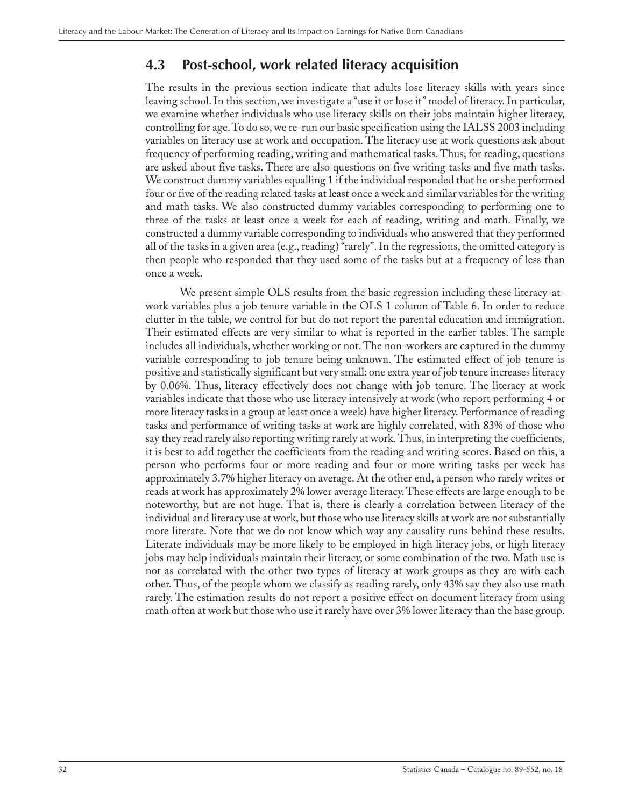### <span id="page-31-0"></span>**4.3 Post-school, work related literacy acquisition**

The results in the previous section indicate that adults lose literacy skills with years since leaving school. In this section, we investigate a "use it or lose it" model of literacy. In particular, we examine whether individuals who use literacy skills on their jobs maintain higher literacy, controlling for age. To do so, we re-run our basic specification using the IALSS 2003 including variables on literacy use at work and occupation. The literacy use at work questions ask about frequency of performing reading, writing and mathematical tasks. Thus, for reading, questions are asked about five tasks. There are also questions on five writing tasks and five math tasks. We construct dummy variables equalling 1 if the individual responded that he or she performed four or five of the reading related tasks at least once a week and similar variables for the writing and math tasks. We also constructed dummy variables corresponding to performing one to three of the tasks at least once a week for each of reading, writing and math. Finally, we constructed a dummy variable corresponding to individuals who answered that they performed all of the tasks in a given area (e.g., reading) "rarely". In the regressions, the omitted category is then people who responded that they used some of the tasks but at a frequency of less than once a week.

We present simple OLS results from the basic regression including these literacy-atwork variables plus a job tenure variable in the OLS 1 column of Table 6. In order to reduce clutter in the table, we control for but do not report the parental education and immigration. Their estimated effects are very similar to what is reported in the earlier tables. The sample includes all individuals, whether working or not. The non-workers are captured in the dummy variable corresponding to job tenure being unknown. The estimated effect of job tenure is positive and statistically significant but very small: one extra year of job tenure increases literacy by 0.06%. Thus, literacy effectively does not change with job tenure. The literacy at work variables indicate that those who use literacy intensively at work (who report performing 4 or more literacy tasks in a group at least once a week) have higher literacy. Performance of reading tasks and performance of writing tasks at work are highly correlated, with 83% of those who say they read rarely also reporting writing rarely at work. Thus, in interpreting the coefficients, it is best to add together the coefficients from the reading and writing scores. Based on this, a person who performs four or more reading and four or more writing tasks per week has approximately 3.7% higher literacy on average. At the other end, a person who rarely writes or reads at work has approximately 2% lower average literacy. These effects are large enough to be noteworthy, but are not huge. That is, there is clearly a correlation between literacy of the individual and literacy use at work, but those who use literacy skills at work are not substantially more literate. Note that we do not know which way any causality runs behind these results. Literate individuals may be more likely to be employed in high literacy jobs, or high literacy jobs may help individuals maintain their literacy, or some combination of the two. Math use is not as correlated with the other two types of literacy at work groups as they are with each other. Thus, of the people whom we classify as reading rarely, only 43% say they also use math rarely. The estimation results do not report a positive effect on document literacy from using math often at work but those who use it rarely have over 3% lower literacy than the base group.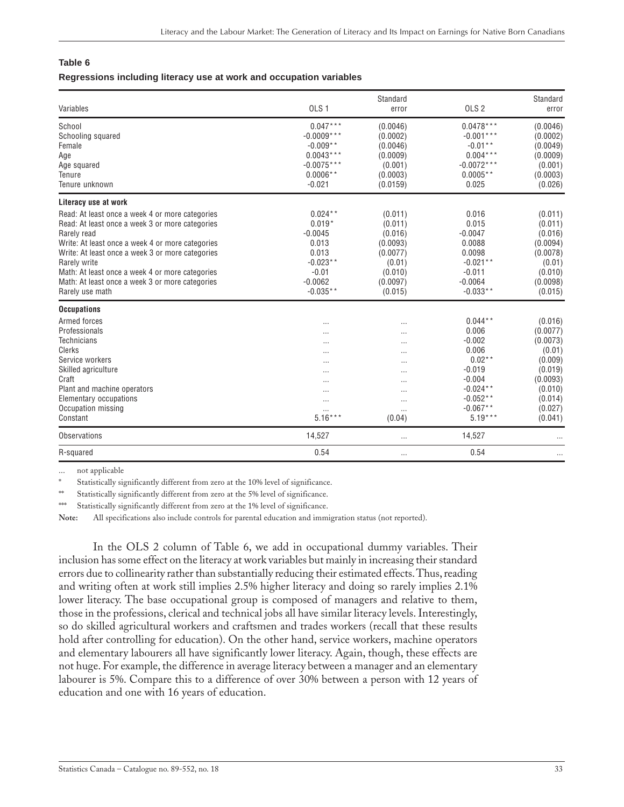#### <span id="page-32-0"></span>**Table 6**

#### **Regressions including literacy use at work and occupation variables**

| Variables                                                                                                                                                                                                                                                                                                                                                                                  | OLS <sub>1</sub>                                                                                         | Standard<br>error                                                                                 | OLS <sub>2</sub>                                                                                                                   | Standard<br>error                                                                                                       |
|--------------------------------------------------------------------------------------------------------------------------------------------------------------------------------------------------------------------------------------------------------------------------------------------------------------------------------------------------------------------------------------------|----------------------------------------------------------------------------------------------------------|---------------------------------------------------------------------------------------------------|------------------------------------------------------------------------------------------------------------------------------------|-------------------------------------------------------------------------------------------------------------------------|
| School<br>Schooling squared<br>Female<br>Age<br>Age squared<br>Tenure<br>Tenure unknown                                                                                                                                                                                                                                                                                                    | $0.047***$<br>$-0.0009***$<br>$-0.009**$<br>$0.0043***$<br>$-0.0075***$<br>$0.0006**$<br>$-0.021$        | (0.0046)<br>(0.0002)<br>(0.0046)<br>(0.0009)<br>(0.001)<br>(0.0003)<br>(0.0159)                   | $0.0478***$<br>$-0.001***$<br>$-0.01**$<br>$0.004***$<br>$-0.0072***$<br>$0.0005**$<br>0.025                                       | (0.0046)<br>(0.0002)<br>(0.0049)<br>(0.0009)<br>(0.001)<br>(0.0003)<br>(0.026)                                          |
| Literacy use at work<br>Read: At least once a week 4 or more categories<br>Read: At least once a week 3 or more categories<br>Rarely read<br>Write: At least once a week 4 or more categories<br>Write: At least once a week 3 or more categories<br>Rarely write<br>Math: At least once a week 4 or more categories<br>Math: At least once a week 3 or more categories<br>Rarely use math | $0.024**$<br>$0.019*$<br>$-0.0045$<br>0.013<br>0.013<br>$-0.023**$<br>$-0.01$<br>$-0.0062$<br>$-0.035**$ | (0.011)<br>(0.011)<br>(0.016)<br>(0.0093)<br>(0.0077)<br>(0.01)<br>(0.010)<br>(0.0097)<br>(0.015) | 0.016<br>0.015<br>$-0.0047$<br>0.0088<br>0.0098<br>$-0.021**$<br>$-0.011$<br>$-0.0064$<br>$-0.033**$                               | (0.011)<br>(0.011)<br>(0.016)<br>(0.0094)<br>(0.0078)<br>(0.01)<br>(0.010)<br>(0.0098)<br>(0.015)                       |
| <b>Occupations</b><br>Armed forces<br>Professionals<br><b>Technicians</b><br>Clerks<br>Service workers<br>Skilled agriculture<br>Craft<br>Plant and machine operators<br>Elementary occupations<br>Occupation missing<br>Constant                                                                                                                                                          | <br><br>$\cdots$<br><br><br><br>.<br><br><br><br>$5.16***$                                               | <br>.<br>$\cdots$<br><br><br><br>.<br><br><br><br>(0.04)                                          | $0.044**$<br>0.006<br>$-0.002$<br>0.006<br>$0.02**$<br>$-0.019$<br>$-0.004$<br>$-0.024**$<br>$-0.052**$<br>$-0.067**$<br>$5.19***$ | (0.016)<br>(0.0077)<br>(0.0073)<br>(0.01)<br>(0.009)<br>(0.019)<br>(0.0093)<br>(0.010)<br>(0.014)<br>(0.027)<br>(0.041) |
| <b>Observations</b>                                                                                                                                                                                                                                                                                                                                                                        | 14,527                                                                                                   | $\cdots$                                                                                          | 14,527                                                                                                                             | $\ddotsc$                                                                                                               |
| R-squared                                                                                                                                                                                                                                                                                                                                                                                  | 0.54                                                                                                     | $\cdots$                                                                                          | 0.54                                                                                                                               | $\cdots$                                                                                                                |

... not applicable

Statistically significantly different from zero at the 10% level of significance.

Statistically significantly different from zero at the 5% level of significance.

\*\*\* Statistically significantly different from zero at the 1% level of significance.

**Note:** All specifications also include controls for parental education and immigration status (not reported).

In the OLS 2 column of Table 6, we add in occupational dummy variables. Their inclusion has some effect on the literacy at work variables but mainly in increasing their standard errors due to collinearity rather than substantially reducing their estimated effects. Thus, reading and writing often at work still implies 2.5% higher literacy and doing so rarely implies 2.1% lower literacy. The base occupational group is composed of managers and relative to them, those in the professions, clerical and technical jobs all have similar literacy levels. Interestingly, so do skilled agricultural workers and craftsmen and trades workers (recall that these results hold after controlling for education). On the other hand, service workers, machine operators and elementary labourers all have significantly lower literacy. Again, though, these effects are not huge. For example, the difference in average literacy between a manager and an elementary labourer is 5%. Compare this to a difference of over 30% between a person with 12 years of education and one with 16 years of education.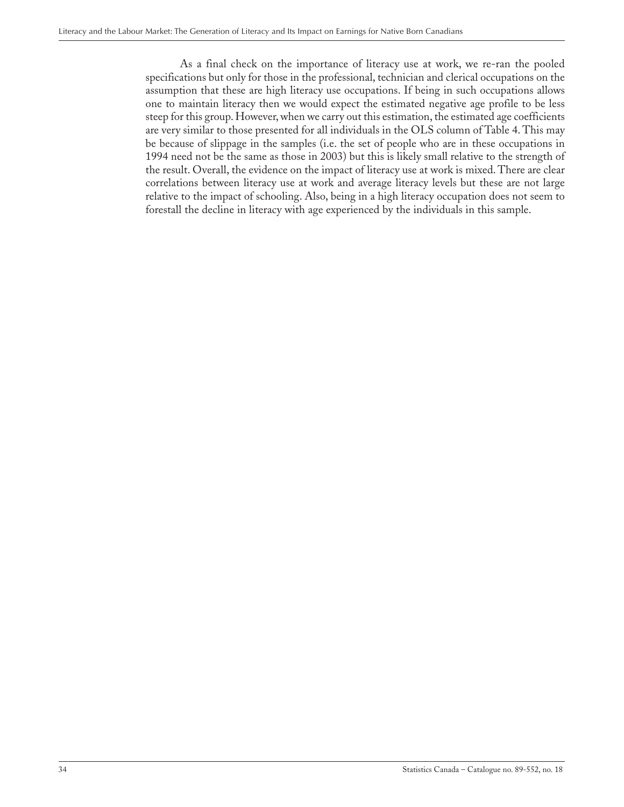As a final check on the importance of literacy use at work, we re-ran the pooled specifications but only for those in the professional, technician and clerical occupations on the assumption that these are high literacy use occupations. If being in such occupations allows one to maintain literacy then we would expect the estimated negative age profile to be less steep for this group. However, when we carry out this estimation, the estimated age coefficients are very similar to those presented for all individuals in the OLS column of Table 4. This may be because of slippage in the samples (i.e. the set of people who are in these occupations in 1994 need not be the same as those in 2003) but this is likely small relative to the strength of the result. Overall, the evidence on the impact of literacy use at work is mixed. There are clear correlations between literacy use at work and average literacy levels but these are not large relative to the impact of schooling. Also, being in a high literacy occupation does not seem to forestall the decline in literacy with age experienced by the individuals in this sample.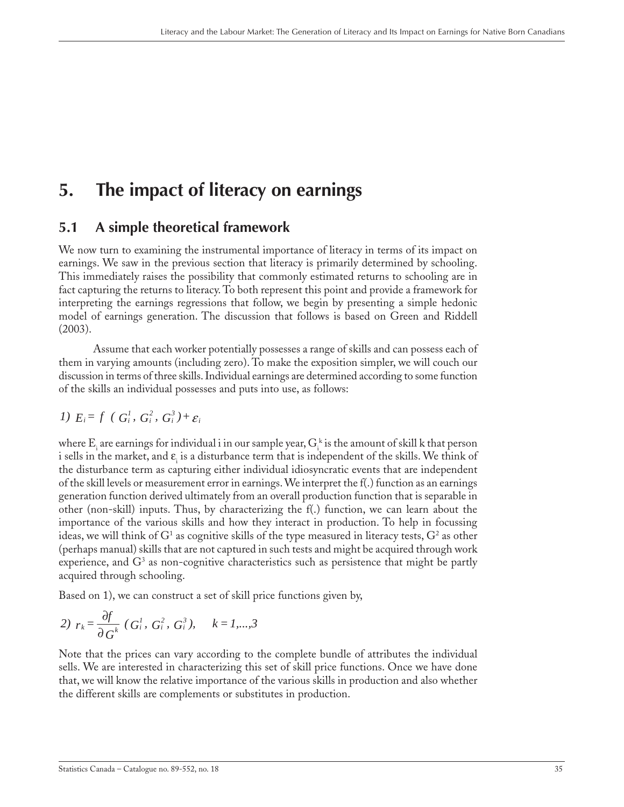## <span id="page-34-0"></span>**5. The impact of literacy on earnings**

### **5.1 A simple theoretical framework**

We now turn to examining the instrumental importance of literacy in terms of its impact on earnings. We saw in the previous section that literacy is primarily determined by schooling. This immediately raises the possibility that commonly estimated returns to schooling are in fact capturing the returns to literacy. To both represent this point and provide a framework for interpreting the earnings regressions that follow, we begin by presenting a simple hedonic model of earnings generation. The discussion that follows is based on Green and Riddell (2003).

Assume that each worker potentially possesses a range of skills and can possess each of them in varying amounts (including zero). To make the exposition simpler, we will couch our discussion in terms of three skills. Individual earnings are determined according to some function of the skills an individual possesses and puts into use, as follows:

$$
I) E_i = f (G_i^1, G_i^2, G_i^3) + \varepsilon_i
$$

where  $\mathrm{E}_\mathrm{i}$  are earnings for individual i in our sample year,  $\mathrm{G}_\mathrm{i}^{\,\mathrm{k}}$  is the amount of skill k that person i sells in the market, and  $\varepsilon$ <sub>i</sub> is a disturbance term that is independent of the skills. We think of the disturbance term as capturing either individual idiosyncratic events that are independent of the skill levels or measurement error in earnings. We interpret the f(.) function as an earnings generation function derived ultimately from an overall production function that is separable in other (non-skill) inputs. Thus, by characterizing the f(.) function, we can learn about the importance of the various skills and how they interact in production. To help in focussing ideas, we will think of  $\mathrm{G}^{\scriptscriptstyle{1}}$  as cognitive skills of the type measured in literacy tests,  $\mathrm{G}^{\scriptscriptstyle{2}}$  as other (perhaps manual) skills that are not captured in such tests and might be acquired through work experience, and  $G<sup>3</sup>$  as non-cognitive characteristics such as persistence that might be partly acquired through schooling.

Based on 1), we can construct a set of skill price functions given by,

2) 
$$
r_k = \frac{\partial f}{\partial G^k} (G_i^1, G_i^2, G_i^3), \quad k = 1,...,3
$$

Note that the prices can vary according to the complete bundle of attributes the individual sells. We are interested in characterizing this set of skill price functions. Once we have done that, we will know the relative importance of the various skills in production and also whether the different skills are complements or substitutes in production.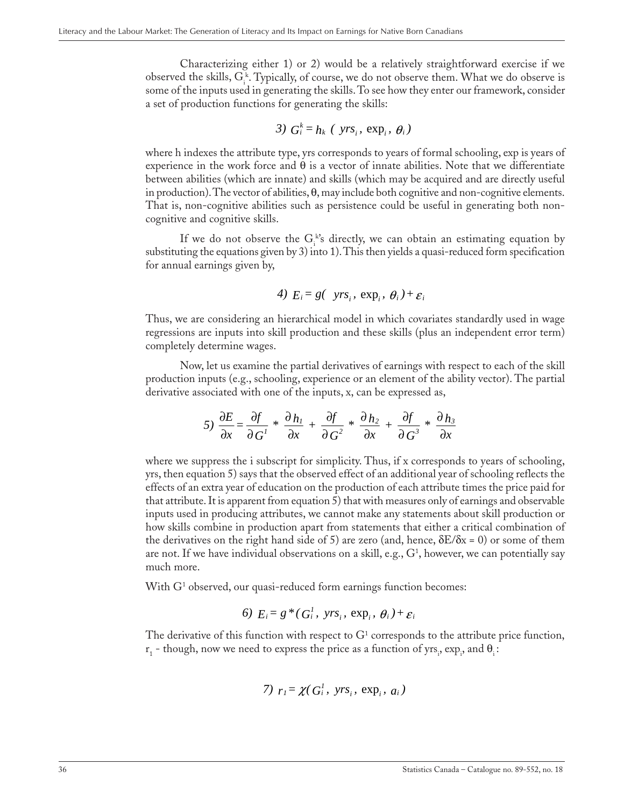Characterizing either 1) or 2) would be a relatively straightforward exercise if we observed the skills,  $G_i^k$ . Typically, of course, we do not observe them. What we do observe is some of the inputs used in generating the skills. To see how they enter our framework, consider a set of production functions for generating the skills:

3) 
$$
G_i^k = h_k
$$
 (  $\gamma r s_i$ ,  $\exp_i$ ,  $\theta_i$ )

where h indexes the attribute type, yrs corresponds to years of formal schooling, exp is years of experience in the work force and  $\theta$  is a vector of innate abilities. Note that we differentiate between abilities (which are innate) and skills (which may be acquired and are directly useful in production). The vector of abilities,  $\theta$ , may include both cognitive and non-cognitive elements. That is, non-cognitive abilities such as persistence could be useful in generating both noncognitive and cognitive skills.

If we do not observe the  $G_i^k$ s directly, we can obtain an estimating equation by substituting the equations given by 3) into 1). This then yields a quasi-reduced form specification for annual earnings given by,

4) 
$$
E_i = g(\gamma \, \text{yrs}_i, \, \text{exp}_i, \, \theta_i) + \varepsilon_i
$$

Thus, we are considering an hierarchical model in which covariates standardly used in wage regressions are inputs into skill production and these skills (plus an independent error term) completely determine wages.

Now, let us examine the partial derivatives of earnings with respect to each of the skill production inputs (e.g., schooling, experience or an element of the ability vector). The partial derivative associated with one of the inputs, x, can be expressed as,

$$
5) \frac{\partial E}{\partial x} = \frac{\partial f}{\partial G'} + \frac{\partial h_1}{\partial x} + \frac{\partial f}{\partial G^2} + \frac{\partial h_2}{\partial x} + \frac{\partial f}{\partial G^3} + \frac{\partial h_3}{\partial x}
$$

where we suppress the i subscript for simplicity. Thus, if x corresponds to years of schooling, yrs, then equation 5) says that the observed effect of an additional year of schooling reflects the effects of an extra year of education on the production of each attribute times the price paid for that attribute. It is apparent from equation 5) that with measures only of earnings and observable inputs used in producing attributes, we cannot make any statements about skill production or how skills combine in production apart from statements that either a critical combination of the derivatives on the right hand side of 5) are zero (and, hence,  $\delta E/\delta x = 0$ ) or some of them are not. If we have individual observations on a skill, e.g.,  $\mathrm{G}^{\scriptscriptstyle{1}}$ , however, we can potentially say much more.

With  $\mathrm{G}^{\scriptscriptstyle{1}}$  observed, our quasi-reduced form earnings function becomes:

6) 
$$
E_i = g^*(G_i^1, yrs_i, \exp_i, \theta_i) + \varepsilon_i
$$

The derivative of this function with respect to  $\mathrm{G}^{\scriptscriptstyle{1}}$  corresponds to the attribute price function, r<sub>1</sub> - though, now we need to express the price as a function of yrs<sub>1</sub>,  $\exp_{\mathrm{i}}$ , and  $\theta_{\mathrm{i}}$ :

7) 
$$
r_i = \chi(G_i^1, yrs_i, \exp_i, a_i)
$$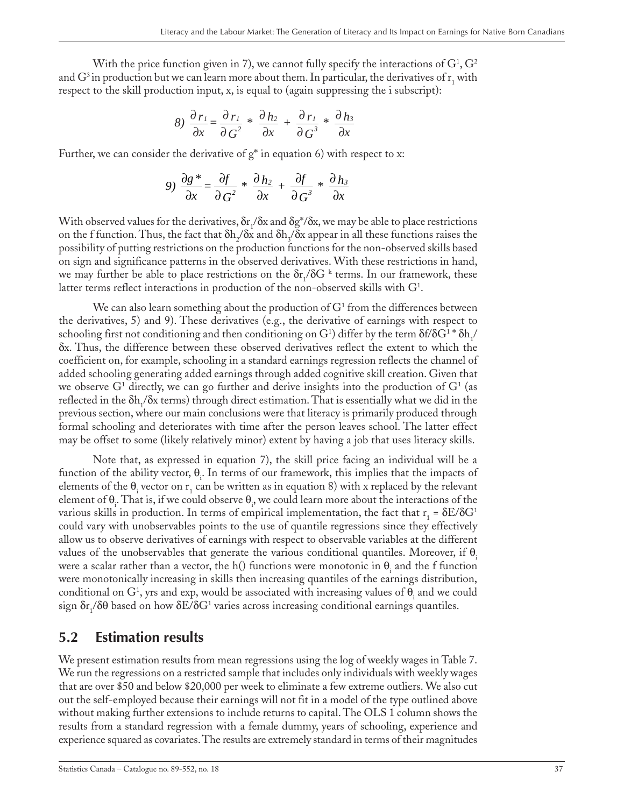<span id="page-36-0"></span>With the price function given in 7), we cannot fully specify the interactions of  $\mathrm{G}^{\scriptscriptstyle 1}, \mathrm{G}^{\scriptscriptstyle 2}$ and  $G^3$  in production but we can learn more about them. In particular, the derivatives of  $r_1$  with respect to the skill production input, x, is equal to (again suppressing the i subscript):

$$
8)\frac{\partial r_1}{\partial x} = \frac{\partial r_1}{\partial G^2} * \frac{\partial h_2}{\partial x} + \frac{\partial r_1}{\partial G^3} * \frac{\partial h_3}{\partial x}
$$

Further, we can consider the derivative of  $g^*$  in equation 6) with respect to x:

$$
9) \frac{\partial g^*}{\partial x} = \frac{\partial f}{\partial G^2} * \frac{\partial h_2}{\partial x} + \frac{\partial f}{\partial G^3} * \frac{\partial h_3}{\partial x}
$$

With observed values for the derivatives,  $\delta r/ \delta x$  and  $\delta g^* / \delta x$ , we may be able to place restrictions on the f function. Thus, the fact that  $\delta h$  / $\delta x$  and  $\delta h$  / $\delta x$  appear in all these functions raises the possibility of putting restrictions on the production functions for the non-observed skills based on sign and significance patterns in the observed derivatives. With these restrictions in hand, we may further be able to place restrictions on the  $\delta r$ <sub>1</sub>/ $\delta G$  k terms. In our framework, these latter terms reflect interactions in production of the non-observed skills with  $\mathrm{G}^{\scriptscriptstyle{1}}.$ 

We can also learn something about the production of  $\mathrm{G}^{\scriptscriptstyle{1}}$  from the differences between the derivatives, 5) and 9). These derivatives (e.g., the derivative of earnings with respect to schooling first not conditioning and then conditioning on  $G^1$ ) differ by the term  $\delta f / \delta G^1 * \delta h_1 /$ δx. Thus, the difference between these observed derivatives reflect the extent to which the coefficient on, for example, schooling in a standard earnings regression reflects the channel of added schooling generating added earnings through added cognitive skill creation. Given that we observe  $\mathrm{G}^{\scriptscriptstyle{1}}$  directly, we can go further and derive insights into the production of  $\mathrm{G}^{\scriptscriptstyle{1}}$  (as reflected in the  $\delta h_1/\delta x$  terms) through direct estimation. That is essentially what we did in the previous section, where our main conclusions were that literacy is primarily produced through formal schooling and deteriorates with time after the person leaves school. The latter effect may be offset to some (likely relatively minor) extent by having a job that uses literacy skills.

Note that, as expressed in equation 7), the skill price facing an individual will be a function of the ability vector,  $\theta$ <sub>:</sub>. In terms of our framework, this implies that the impacts of elements of the  $\theta$ <sub>i</sub> vector on  $r_1$  can be written as in equation 8) with x replaced by the relevant element of  $\theta_i$ . That is, if we could observe  $\theta_i$ , we could learn more about the interactions of the various skills in production. In terms of empirical implementation, the fact that  $r_1 = \delta E / \delta G^1$ could vary with unobservables points to the use of quantile regressions since they effectively allow us to observe derivatives of earnings with respect to observable variables at the different values of the unobservables that generate the various conditional quantiles. Moreover, if  $\theta$ were a scalar rather than a vector, the h() functions were monotonic in  $\theta$ <sub>i</sub> and the f function were monotonically increasing in skills then increasing quantiles of the earnings distribution, conditional on  $G^1$ , yrs and exp, would be associated with increasing values of  $\theta$ <sub>i</sub> and we could sign  $\delta r_1/\delta \theta$  based on how  $\delta E/\delta G^1$  varies across increasing conditional earnings quantiles.

### **5.2 Estimation results**

We present estimation results from mean regressions using the log of weekly wages in Table 7. We run the regressions on a restricted sample that includes only individuals with weekly wages that are over \$50 and below \$20,000 per week to eliminate a few extreme outliers. We also cut out the self-employed because their earnings will not fit in a model of the type outlined above without making further extensions to include returns to capital. The OLS 1 column shows the results from a standard regression with a female dummy, years of schooling, experience and experience squared as covariates. The results are extremely standard in terms of their magnitudes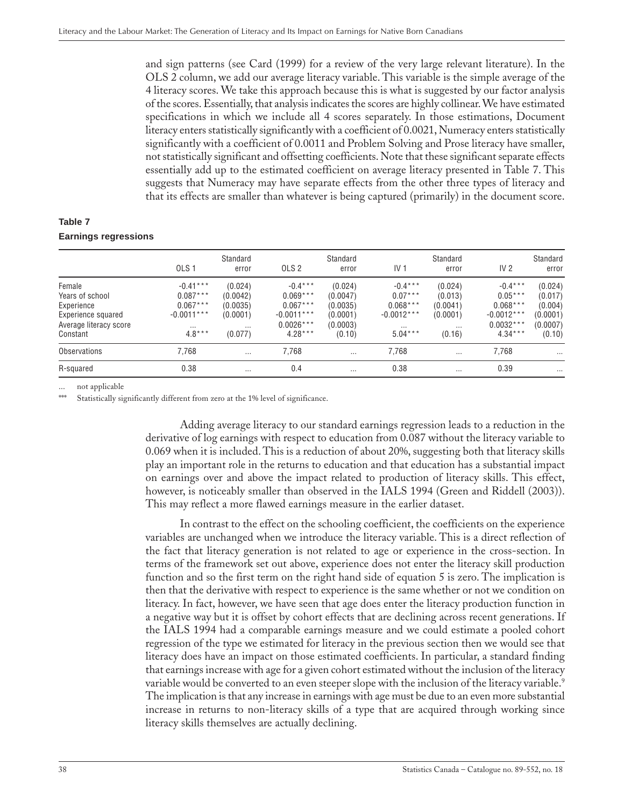<span id="page-37-0"></span>and sign patterns (see Card (1999) for a review of the very large relevant literature). In the OLS 2 column, we add our average literacy variable. This variable is the simple average of the 4 literacy scores. We take this approach because this is what is suggested by our factor analysis of the scores. Essentially, that analysis indicates the scores are highly collinear. We have estimated specifications in which we include all 4 scores separately. In those estimations, Document literacy enters statistically significantly with a coefficient of 0.0021, Numeracy enters statistically significantly with a coefficient of 0.0011 and Problem Solving and Prose literacy have smaller, not statistically significant and offsetting coefficients. Note that these significant separate effects essentially add up to the estimated coefficient on average literacy presented in Table 7. This suggests that Numeracy may have separate effects from the other three types of literacy and that its effects are smaller than whatever is being captured (primarily) in the document score.

#### **Table 7 Earnings regressions**

|                                                                                                     | OLS <sub>1</sub>                                                               | Standard<br>error                                                  | OLS <sub>2</sub>                                                                  | Standard<br>error                                                 | IV <sub>1</sub>                                                               | Standard<br>error                                                | IV <sub>2</sub>                                                                  | Standard<br>error                                               |
|-----------------------------------------------------------------------------------------------------|--------------------------------------------------------------------------------|--------------------------------------------------------------------|-----------------------------------------------------------------------------------|-------------------------------------------------------------------|-------------------------------------------------------------------------------|------------------------------------------------------------------|----------------------------------------------------------------------------------|-----------------------------------------------------------------|
| Female<br>Years of school<br>Experience<br>Experience squared<br>Average literacy score<br>Constant | $-0.41***$<br>$0.087***$<br>$0.067***$<br>$-0.0011***$<br>$\cdots$<br>$4.8***$ | (0.024)<br>(0.0042)<br>(0.0035)<br>(0.0001)<br>$\cdots$<br>(0.077) | $-0.4***$<br>$0.069***$<br>$0.067***$<br>$-0.0011***$<br>$0.0026***$<br>$4.28***$ | (0.024)<br>(0.0047)<br>(0.0035)<br>(0.0001)<br>(0.0003)<br>(0.10) | $-0.4***$<br>$0.07***$<br>$0.068***$<br>$-0.0012***$<br>$\cdots$<br>$5.04***$ | (0.024)<br>(0.013)<br>(0.0041)<br>(0.0001)<br>$\cdots$<br>(0.16) | $-0.4***$<br>$0.05***$<br>$0.068***$<br>$-0.0012***$<br>$0.0032***$<br>$4.34***$ | (0.024)<br>(0.017)<br>(0.004)<br>(0.0001)<br>(0.0007)<br>(0.10) |
| Observations                                                                                        | 7.768                                                                          | $\cdots$                                                           | 7.768                                                                             | $\cdots$                                                          | 7,768                                                                         | $\cdots$                                                         | 7,768                                                                            | $\cdots$                                                        |
| R-squared                                                                                           | 0.38                                                                           | $\cdots$                                                           | 0.4                                                                               | $\cdots$                                                          | 0.38                                                                          | $\cdots$                                                         | 0.39                                                                             | $\cdots$                                                        |

not applicable

Statistically significantly different from zero at the 1% level of significance.

Adding average literacy to our standard earnings regression leads to a reduction in the derivative of log earnings with respect to education from 0.087 without the literacy variable to 0.069 when it is included. This is a reduction of about 20%, suggesting both that literacy skills play an important role in the returns to education and that education has a substantial impact on earnings over and above the impact related to production of literacy skills. This effect, however, is noticeably smaller than observed in the IALS 1994 (Green and Riddell (2003)). This may reflect a more flawed earnings measure in the earlier dataset.

In contrast to the effect on the schooling coefficient, the coefficients on the experience variables are unchanged when we introduce the literacy variable. This is a direct reflection of the fact that literacy generation is not related to age or experience in the cross-section. In terms of the framework set out above, experience does not enter the literacy skill production function and so the first term on the right hand side of equation 5 is zero. The implication is then that the derivative with respect to experience is the same whether or not we condition on literacy. In fact, however, we have seen that age does enter the literacy production function in a negative way but it is offset by cohort effects that are declining across recent generations. If the IALS 1994 had a comparable earnings measure and we could estimate a pooled cohort regression of the type we estimated for literacy in the previous section then we would see that literacy does have an impact on those estimated coefficients. In particular, a standard finding that earnings increase with age for a given cohort estimated without the inclusion of the literacy variable would be converted to an even steeper slope with the inclusion of the literacy variable.<sup>9</sup> The implication is that any increase in earnings with age must be due to an even more substantial increase in returns to non-literacy skills of a type that are acquired through working since literacy skills themselves are actually declining.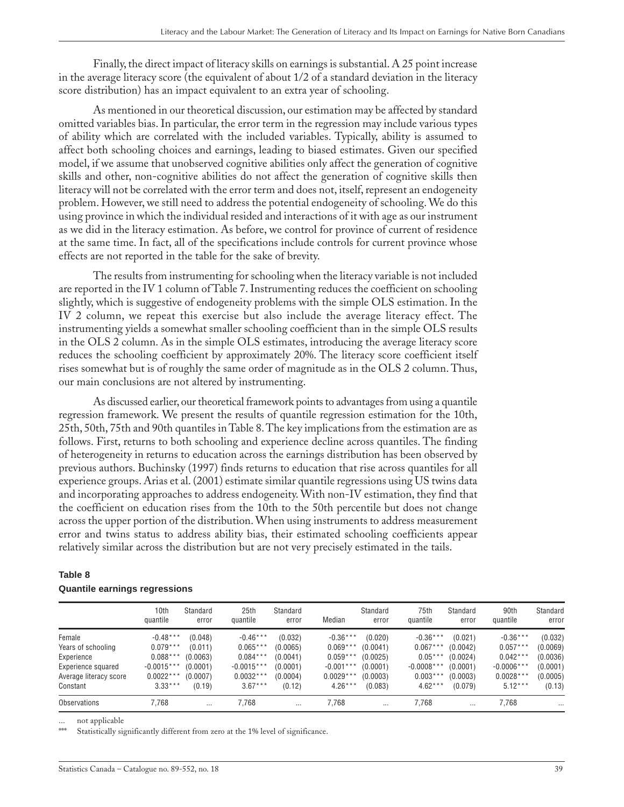<span id="page-38-0"></span>Finally, the direct impact of literacy skills on earnings is substantial. A 25 point increase in the average literacy score (the equivalent of about 1/2 of a standard deviation in the literacy score distribution) has an impact equivalent to an extra year of schooling.

As mentioned in our theoretical discussion, our estimation may be affected by standard omitted variables bias. In particular, the error term in the regression may include various types of ability which are correlated with the included variables. Typically, ability is assumed to affect both schooling choices and earnings, leading to biased estimates. Given our specified model, if we assume that unobserved cognitive abilities only affect the generation of cognitive skills and other, non-cognitive abilities do not affect the generation of cognitive skills then literacy will not be correlated with the error term and does not, itself, represent an endogeneity problem. However, we still need to address the potential endogeneity of schooling. We do this using province in which the individual resided and interactions of it with age as our instrument as we did in the literacy estimation. As before, we control for province of current of residence at the same time. In fact, all of the specifications include controls for current province whose effects are not reported in the table for the sake of brevity.

The results from instrumenting for schooling when the literacy variable is not included are reported in the IV 1 column of Table 7. Instrumenting reduces the coefficient on schooling slightly, which is suggestive of endogeneity problems with the simple OLS estimation. In the IV 2 column, we repeat this exercise but also include the average literacy effect. The instrumenting yields a somewhat smaller schooling coefficient than in the simple OLS results in the OLS 2 column. As in the simple OLS estimates, introducing the average literacy score reduces the schooling coefficient by approximately 20%. The literacy score coefficient itself rises somewhat but is of roughly the same order of magnitude as in the OLS 2 column. Thus, our main conclusions are not altered by instrumenting.

As discussed earlier, our theoretical framework points to advantages from using a quantile regression framework. We present the results of quantile regression estimation for the 10th, 25th, 50th, 75th and 90th quantiles in Table 8. The key implications from the estimation are as follows. First, returns to both schooling and experience decline across quantiles. The finding of heterogeneity in returns to education across the earnings distribution has been observed by previous authors. Buchinsky (1997) finds returns to education that rise across quantiles for all experience groups. Arias et al. (2001) estimate similar quantile regressions using US twins data and incorporating approaches to address endogeneity. With non-IV estimation, they find that the coefficient on education rises from the 10th to the 50th percentile but does not change across the upper portion of the distribution. When using instruments to address measurement error and twins status to address ability bias, their estimated schooling coefficients appear relatively similar across the distribution but are not very precisely estimated in the tails.

| laple o |                                      |  |
|---------|--------------------------------------|--|
|         | <b>Quantile earnings regressions</b> |  |

|                        | 10th<br>quantile | Standard<br>error | 25th<br>quantile | Standard<br>error | Median      | Standard<br>error | 75th<br>quantile | Standard<br>error | 90th<br>quantile | Standard<br>error |
|------------------------|------------------|-------------------|------------------|-------------------|-------------|-------------------|------------------|-------------------|------------------|-------------------|
| Female                 | $-0.48***$       | (0.048)           | $-0.46***$       | (0.032)           | $-0.36***$  | (0.020)           | $-0.36***$       | (0.021)           | $-0.36***$       | (0.032)           |
| Years of schooling     | $0.079***$       | (0.011)           | $0.065***$       | (0.0065)          | $0.069***$  | (0.0041)          | $0.067***$       | (0.0042)          | $0.057***$       | (0.0069)          |
| Experience             | $0.088***$       | (0.0063)          | $0.084***$       | (0.0041)          | $0.059***$  | (0.0025)          | $0.05***$        | (0.0024)          | $0.042***$       | (0.0036)          |
| Experience squared     | $-0.0015***$     | (0.0001)          | $-0.0015***$     | (0.0001)          | $-0.001***$ | (0.0001)          | $-0.0008***$     | (0.0001)          | $-0.0006***$     | (0.0001)          |
| Average literacy score | $0.0022***$      | (0.0007)          | $0.0032***$      | (0.0004)          | $0.0029***$ | (0.0003)          | $0.003***$       | (0.0003)          | $0.0028***$      | (0.0005)          |
| Constant               | $3.33***$        | (0.19)            | $3.67***$        | (0.12)            | $4.26***$   | (0.083)           | $4.62***$        | (0.079)           | $5.12***$        | (0.13)            |
| <b>Observations</b>    | 7.768            | $\cdots$          | 7.768            | $\cdots$          | 7.768       | $\cdots$          | 7.768            | $\cdots$          | 7.768            | $\cdots$          |

not applicable

**Table 8**

Statistically significantly different from zero at the 1% level of significance.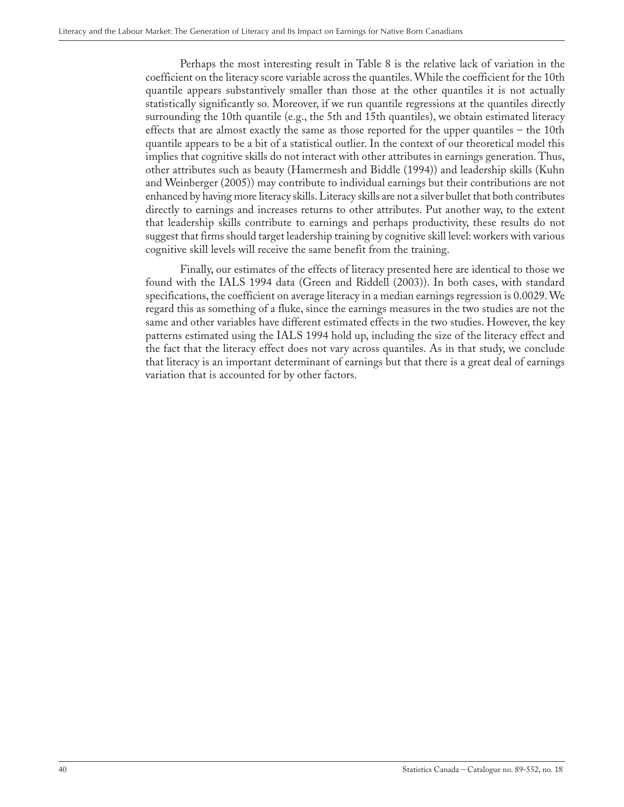Perhaps the most interesting result in Table 8 is the relative lack of variation in the coefficient on the literacy score variable across the quantiles. While the coefficient for the 10th quantile appears substantively smaller than those at the other quantiles it is not actually statistically significantly so. Moreover, if we run quantile regressions at the quantiles directly surrounding the 10th quantile (e.g., the 5th and 15th quantiles), we obtain estimated literacy effects that are almost exactly the same as those reported for the upper quantiles – the 10th quantile appears to be a bit of a statistical outlier. In the context of our theoretical model this implies that cognitive skills do not interact with other attributes in earnings generation. Thus, other attributes such as beauty (Hamermesh and Biddle (1994)) and leadership skills (Kuhn and Weinberger (2005)) may contribute to individual earnings but their contributions are not enhanced by having more literacy skills. Literacy skills are not a silver bullet that both contributes directly to earnings and increases returns to other attributes. Put another way, to the extent that leadership skills contribute to earnings and perhaps productivity, these results do not suggest that firms should target leadership training by cognitive skill level: workers with various cognitive skill levels will receive the same benefit from the training.

Finally, our estimates of the effects of literacy presented here are identical to those we found with the IALS 1994 data (Green and Riddell (2003)). In both cases, with standard specifications, the coefficient on average literacy in a median earnings regression is 0.0029. We regard this as something of a fluke, since the earnings measures in the two studies are not the same and other variables have different estimated effects in the two studies. However, the key patterns estimated using the IALS 1994 hold up, including the size of the literacy effect and the fact that the literacy effect does not vary across quantiles. As in that study, we conclude that literacy is an important determinant of earnings but that there is a great deal of earnings variation that is accounted for by other factors.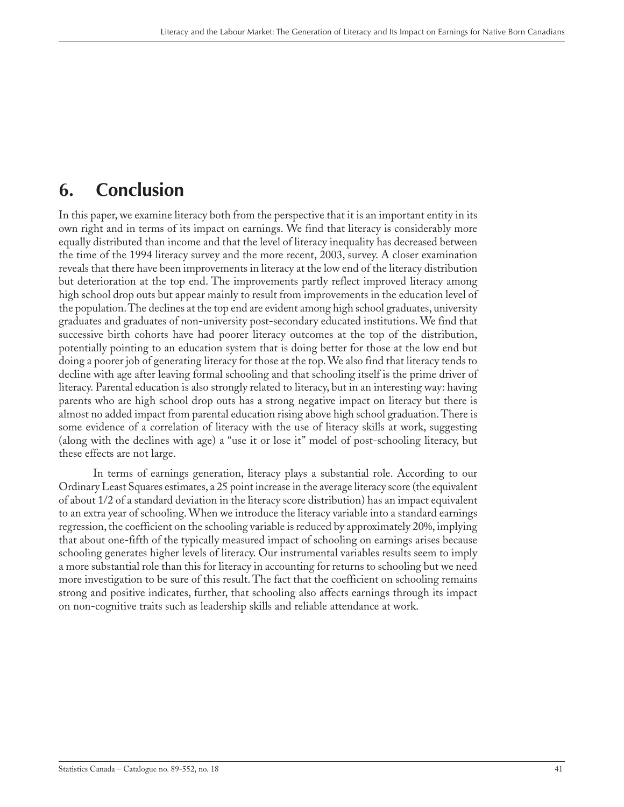## <span id="page-40-0"></span>**6. Conclusion**

In this paper, we examine literacy both from the perspective that it is an important entity in its own right and in terms of its impact on earnings. We find that literacy is considerably more equally distributed than income and that the level of literacy inequality has decreased between the time of the 1994 literacy survey and the more recent, 2003, survey. A closer examination reveals that there have been improvements in literacy at the low end of the literacy distribution but deterioration at the top end. The improvements partly reflect improved literacy among high school drop outs but appear mainly to result from improvements in the education level of the population. The declines at the top end are evident among high school graduates, university graduates and graduates of non-university post-secondary educated institutions. We find that successive birth cohorts have had poorer literacy outcomes at the top of the distribution, potentially pointing to an education system that is doing better for those at the low end but doing a poorer job of generating literacy for those at the top. We also find that literacy tends to decline with age after leaving formal schooling and that schooling itself is the prime driver of literacy. Parental education is also strongly related to literacy, but in an interesting way: having parents who are high school drop outs has a strong negative impact on literacy but there is almost no added impact from parental education rising above high school graduation. There is some evidence of a correlation of literacy with the use of literacy skills at work, suggesting (along with the declines with age) a "use it or lose it" model of post-schooling literacy, but these effects are not large.

In terms of earnings generation, literacy plays a substantial role. According to our Ordinary Least Squares estimates, a 25 point increase in the average literacy score (the equivalent of about 1/2 of a standard deviation in the literacy score distribution) has an impact equivalent to an extra year of schooling. When we introduce the literacy variable into a standard earnings regression, the coefficient on the schooling variable is reduced by approximately 20%, implying that about one-fifth of the typically measured impact of schooling on earnings arises because schooling generates higher levels of literacy. Our instrumental variables results seem to imply a more substantial role than this for literacy in accounting for returns to schooling but we need more investigation to be sure of this result. The fact that the coefficient on schooling remains strong and positive indicates, further, that schooling also affects earnings through its impact on non-cognitive traits such as leadership skills and reliable attendance at work.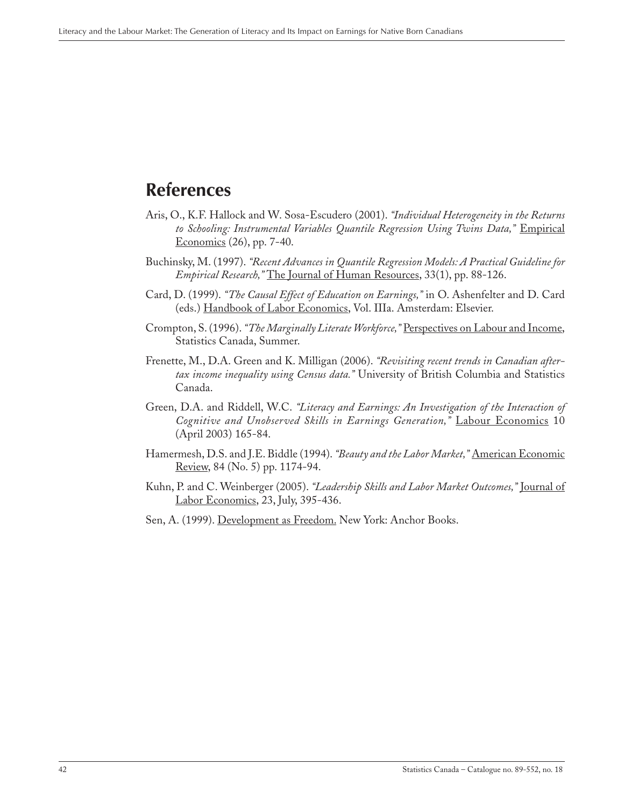### <span id="page-41-0"></span>**References**

- Aris, O., K.F. Hallock and W. Sosa-Escudero (2001). *"Individual Heterogeneity in the Returns to Schooling: Instrumental Variables Quantile Regression Using Twins Data,"* Empirical Economics (26), pp. 7-40.
- Buchinsky, M. (1997). *"Recent Advances in Quantile Regression Models: A Practical Guideline for Empirical Research,"* The Journal of Human Resources, 33(1), pp. 88-126.
- Card, D. (1999). *"The Causal Effect of Education on Earnings,"* in O. Ashenfelter and D. Card (eds.) Handbook of Labor Economics, Vol. IIIa. Amsterdam: Elsevier.
- Crompton, S. (1996). *"The Marginally Literate Workforce,"* Perspectives on Labour and Income, Statistics Canada, Summer.
- Frenette, M., D.A. Green and K. Milligan (2006). *"Revisiting recent trends in Canadian aftertax income inequality using Census data."* University of British Columbia and Statistics Canada.
- Green, D.A. and Riddell, W.C. *"Literacy and Earnings: An Investigation of the Interaction of Cognitive and Unobserved Skills in Earnings Generation,"* Labour Economics 10 (April 2003) 165-84.
- Hamermesh, D.S. and J.E. Biddle (1994). "Beauty and the Labor Market," American Economic Review, 84 (No. 5) pp. 1174-94.
- Kuhn, P. and C. Weinberger (2005). *"Leadership Skills and Labor Market Outcomes,"* Journal of Labor Economics, 23, July, 395-436.
- Sen, A. (1999). Development as Freedom. New York: Anchor Books.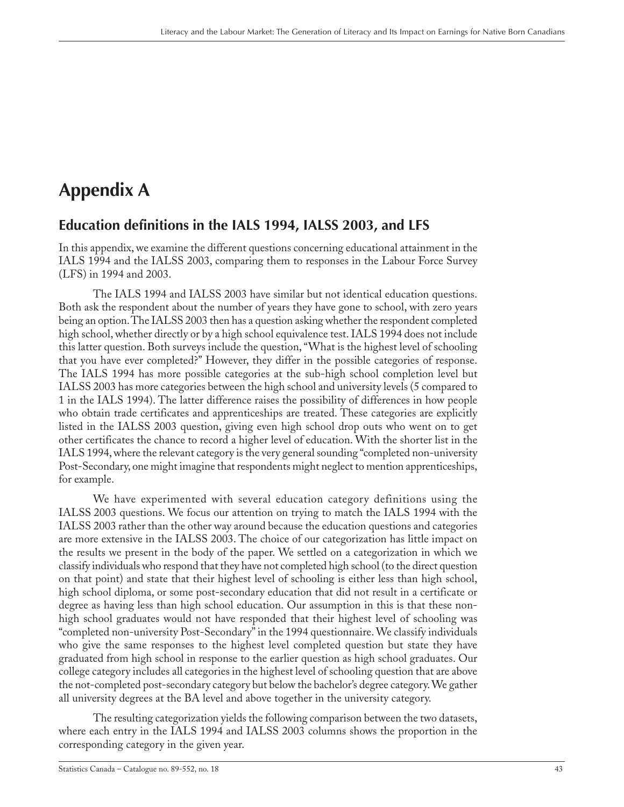## <span id="page-42-0"></span>**Appendix A**

### **Education definitions in the IALS 1994, IALSS 2003, and LFS**

In this appendix, we examine the different questions concerning educational attainment in the IALS 1994 and the IALSS 2003, comparing them to responses in the Labour Force Survey (LFS) in 1994 and 2003.

The IALS 1994 and IALSS 2003 have similar but not identical education questions. Both ask the respondent about the number of years they have gone to school, with zero years being an option. The IALSS 2003 then has a question asking whether the respondent completed high school, whether directly or by a high school equivalence test. IALS 1994 does not include this latter question. Both surveys include the question, "What is the highest level of schooling that you have ever completed?" However, they differ in the possible categories of response. The IALS 1994 has more possible categories at the sub-high school completion level but IALSS 2003 has more categories between the high school and university levels (5 compared to 1 in the IALS 1994). The latter difference raises the possibility of differences in how people who obtain trade certificates and apprenticeships are treated. These categories are explicitly listed in the IALSS 2003 question, giving even high school drop outs who went on to get other certificates the chance to record a higher level of education. With the shorter list in the IALS 1994, where the relevant category is the very general sounding "completed non-university Post-Secondary, one might imagine that respondents might neglect to mention apprenticeships, for example.

We have experimented with several education category definitions using the IALSS 2003 questions. We focus our attention on trying to match the IALS 1994 with the IALSS 2003 rather than the other way around because the education questions and categories are more extensive in the IALSS 2003. The choice of our categorization has little impact on the results we present in the body of the paper. We settled on a categorization in which we classify individuals who respond that they have not completed high school (to the direct question on that point) and state that their highest level of schooling is either less than high school, high school diploma, or some post-secondary education that did not result in a certificate or degree as having less than high school education. Our assumption in this is that these nonhigh school graduates would not have responded that their highest level of schooling was "completed non-university Post-Secondary" in the 1994 questionnaire. We classify individuals who give the same responses to the highest level completed question but state they have graduated from high school in response to the earlier question as high school graduates. Our college category includes all categories in the highest level of schooling question that are above the not-completed post-secondary category but below the bachelor's degree category. We gather all university degrees at the BA level and above together in the university category.

The resulting categorization yields the following comparison between the two datasets, where each entry in the IALS 1994 and IALSS 2003 columns shows the proportion in the corresponding category in the given year.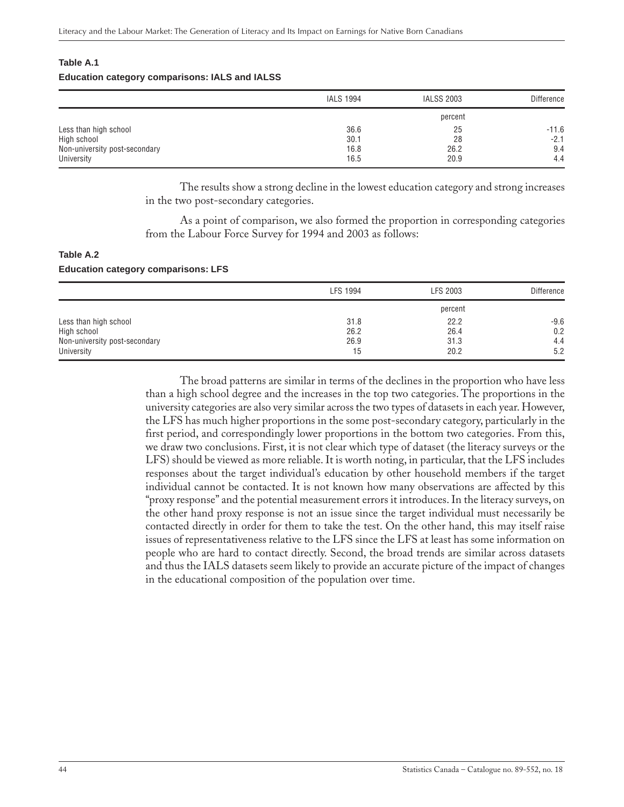### <span id="page-43-0"></span>**Table A.1**

#### **Education category comparisons: IALS and IALSS**

|                               | <b>IALS 1994</b> | <b>IALSS 2003</b> | <b>Difference</b> |
|-------------------------------|------------------|-------------------|-------------------|
|                               |                  | percent           |                   |
| Less than high school         | 36.6             | 25                | $-11.6$           |
| High school                   | 30.1             | 28                | $-2.1$            |
| Non-university post-secondary | 16.8             | 26.2              | 9.4               |
| University                    | 16.5             | 20.9              | 4.4               |

The results show a strong decline in the lowest education category and strong increases in the two post-secondary categories.

As a point of comparison, we also formed the proportion in corresponding categories from the Labour Force Survey for 1994 and 2003 as follows:

#### **Table A.2**

#### **Education category comparisons: LFS**

|                               | <b>LFS 1994</b> | LFS 2003 | <b>Difference</b> |
|-------------------------------|-----------------|----------|-------------------|
|                               |                 | percent  |                   |
| Less than high school         | 31.8            | 22.2     | $-9.6$            |
| High school                   | 26.2            | 26.4     | 0.2               |
| Non-university post-secondary | 26.9            | 31.3     | 4.4               |
| University                    | 15              | 20.2     | 5.2               |

The broad patterns are similar in terms of the declines in the proportion who have less than a high school degree and the increases in the top two categories. The proportions in the university categories are also very similar across the two types of datasets in each year. However, the LFS has much higher proportions in the some post-secondary category, particularly in the first period, and correspondingly lower proportions in the bottom two categories. From this, we draw two conclusions. First, it is not clear which type of dataset (the literacy surveys or the LFS) should be viewed as more reliable. It is worth noting, in particular, that the LFS includes responses about the target individual's education by other household members if the target individual cannot be contacted. It is not known how many observations are affected by this "proxy response" and the potential measurement errors it introduces. In the literacy surveys, on the other hand proxy response is not an issue since the target individual must necessarily be contacted directly in order for them to take the test. On the other hand, this may itself raise issues of representativeness relative to the LFS since the LFS at least has some information on people who are hard to contact directly. Second, the broad trends are similar across datasets and thus the IALS datasets seem likely to provide an accurate picture of the impact of changes in the educational composition of the population over time.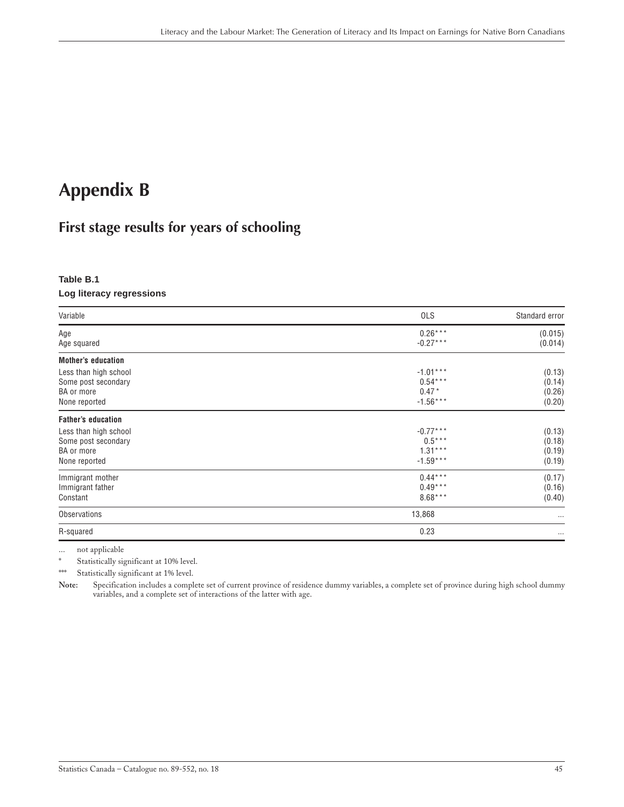## <span id="page-44-0"></span>**Appendix B**

### **First stage results for years of schooling**

#### **Table B.1**

#### **Log literacy regressions**

| Variable                                                                    | <b>OLS</b>                                        | Standard error                       |
|-----------------------------------------------------------------------------|---------------------------------------------------|--------------------------------------|
| Age<br>Age squared                                                          | $0.26***$<br>$-0.27***$                           | (0.015)<br>(0.014)                   |
| <b>Mother's education</b>                                                   |                                                   |                                      |
| Less than high school<br>Some post secondary<br>BA or more<br>None reported | $-1.01***$<br>$0.54***$<br>$0.47*$<br>$-1.56***$  | (0.13)<br>(0.14)<br>(0.26)<br>(0.20) |
| <b>Father's education</b>                                                   |                                                   |                                      |
| Less than high school<br>Some post secondary<br>BA or more<br>None reported | $-0.77***$<br>$0.5***$<br>$1.31***$<br>$-1.59***$ | (0.13)<br>(0.18)<br>(0.19)<br>(0.19) |
| Immigrant mother<br>Immigrant father<br>Constant                            | $0.44***$<br>$0.49***$<br>$8.68***$               | (0.17)<br>(0.16)<br>(0.40)           |
| <b>Observations</b>                                                         | 13,868                                            | $\cdots$                             |
| R-squared                                                                   | 0.23                                              | $\cdots$                             |

... not applicable

Statistically significant at 10% level.

\*\*\* Statistically significant at 1% level.

**Note:** Specification includes a complete set of current province of residence dummy variables, a complete set of province during high school dummy variables, and a complete set of interactions of the latter with age.